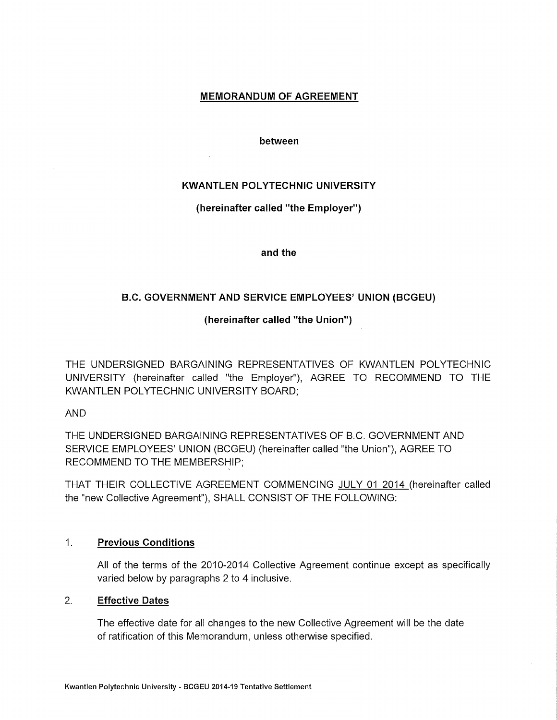# **MEMORANDUM OF AGREEMENT**

between

# **KWANTLEN POLYTECHNIC UNIVERSITY**

# (hereinafter called "the Employer")

and the

# B.C. GOVERNMENT AND SERVICE EMPLOYEES' UNION (BCGEU)

(hereinafter called "the Union")

THE UNDERSIGNED BARGAINING REPRESENTATIVES OF KWANTLEN POLYTECHNIC UNIVERSITY (hereinafter called "the Employer"), AGREE TO RECOMMEND TO THE KWANTLEN POLYTECHNIC UNIVERSITY BOARD;

**AND** 

THE UNDERSIGNED BARGAINING REPRESENTATIVES OF B.C. GOVERNMENT AND SERVICE EMPLOYEES' UNION (BCGEU) (hereinafter called "the Union"), AGREE TO RECOMMEND TO THE MEMBERSHIP;

THAT THEIR COLLECTIVE AGREEMENT COMMENCING JULY 01 2014 (hereinafter called the "new Collective Agreement"), SHALL CONSIST OF THE FOLLOWING:

#### $1<sup>1</sup>$ **Previous Conditions**

All of the terms of the 2010-2014 Collective Agreement continue except as specifically varied below by paragraphs 2 to 4 inclusive.

#### $2<sub>1</sub>$  $\sim 10^{11}$ **Effective Dates**

The effective date for all changes to the new Collective Agreement will be the date of ratification of this Memorandum, unless otherwise specified.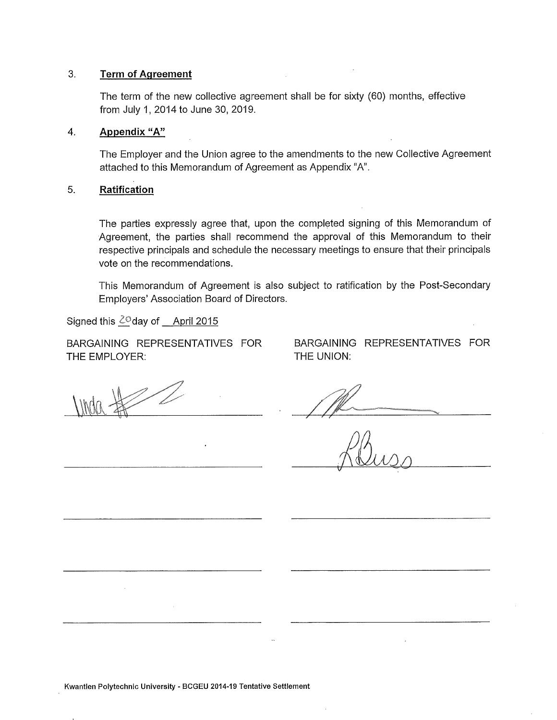#### $3.$ **Term of Agreement**

The term of the new collective agreement shall be for sixty (60) months, effective from July 1, 2014 to June 30, 2019.

#### $\overline{4}$ . Appendix "A"

The Employer and the Union agree to the amendments to the new Collective Agreement attached to this Memorandum of Agreement as Appendix "A".

#### 5. Ratification

The parties expressly agree that, upon the completed signing of this Memorandum of Agreement, the parties shall recommend the approval of this Memorandum to their respective principals and schedule the necessary meetings to ensure that their principals vote on the recommendations.

This Memorandum of Agreement is also subject to ratification by the Post-Secondary Employers' Association Board of Directors.

Signed this  $2^\circ$ day of April 2015

BARGAINING REPRESENTATIVES FOR THE EMPLOYER:

BARGAINING REPRESENTATIVES FOR THE UNION:

Kwantlen Polytechnic University - BCGEU 2014-19 Tentative Settlement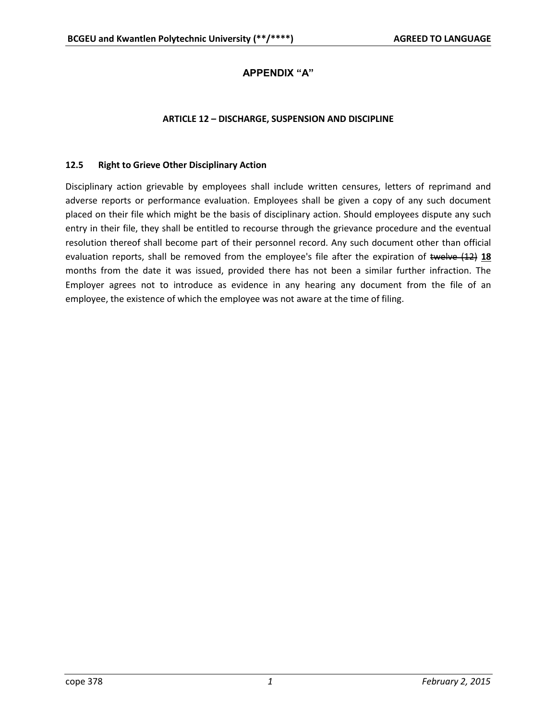# **APPENDIX "A"**

#### **ARTICLE 12 – DISCHARGE, SUSPENSION AND DISCIPLINE**

#### **12.5 Right to Grieve Other Disciplinary Action**

Disciplinary action grievable by employees shall include written censures, letters of reprimand and adverse reports or performance evaluation. Employees shall be given a copy of any such document placed on their file which might be the basis of disciplinary action. Should employees dispute any such entry in their file, they shall be entitled to recourse through the grievance procedure and the eventual resolution thereof shall become part of their personnel record. Any such document other than official evaluation reports, shall be removed from the employee's file after the expiration of twelve (12) **18** months from the date it was issued, provided there has not been a similar further infraction. The Employer agrees not to introduce as evidence in any hearing any document from the file of an employee, the existence of which the employee was not aware at the time of filing.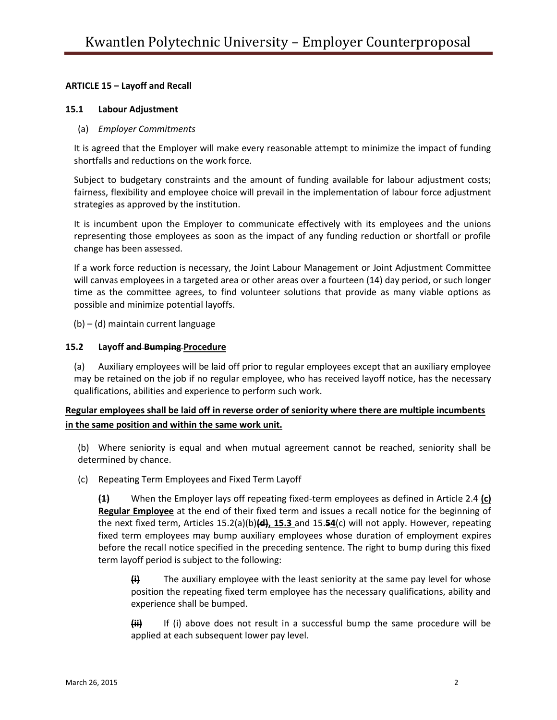# **ARTICLE 15 – Layoff and Recall**

### **15.1 Labour Adjustment**

# (a) *Employer Commitments*

It is agreed that the Employer will make every reasonable attempt to minimize the impact of funding shortfalls and reductions on the work force.

Subject to budgetary constraints and the amount of funding available for labour adjustment costs; fairness, flexibility and employee choice will prevail in the implementation of labour force adjustment strategies as approved by the institution.

It is incumbent upon the Employer to communicate effectively with its employees and the unions representing those employees as soon as the impact of any funding reduction or shortfall or profile change has been assessed.

If a work force reduction is necessary, the Joint Labour Management or Joint Adjustment Committee will canvas employees in a targeted area or other areas over a fourteen (14) day period, or such longer time as the committee agrees, to find volunteer solutions that provide as many viable options as possible and minimize potential layoffs.

(b) – (d) maintain current language

# **15.2 Layoff and Bumping Procedure**

(a) Auxiliary employees will be laid off prior to regular employees except that an auxiliary employee may be retained on the job if no regular employee, who has received layoff notice, has the necessary qualifications, abilities and experience to perform such work.

# **Regular employees shall be laid off in reverse order of seniority where there are multiple incumbents in the same position and within the same work unit.**

(b) Where seniority is equal and when mutual agreement cannot be reached, seniority shall be determined by chance.

(c) Repeating Term Employees and Fixed Term Layoff

**(1)** When the Employer lays off repeating fixed-term employees as defined in Article 2.4 **(c) Regular Employee** at the end of their fixed term and issues a recall notice for the beginning of the next fixed term, Articles 15.2(a)(b)**(d), 15.3** and 15.**54**(c) will not apply. However, repeating fixed term employees may bump auxiliary employees whose duration of employment expires before the recall notice specified in the preceding sentence. The right to bump during this fixed term layoff period is subject to the following:

**(i)** The auxiliary employee with the least seniority at the same pay level for whose position the repeating fixed term employee has the necessary qualifications, ability and experience shall be bumped.

**(ii)** If (i) above does not result in a successful bump the same procedure will be applied at each subsequent lower pay level.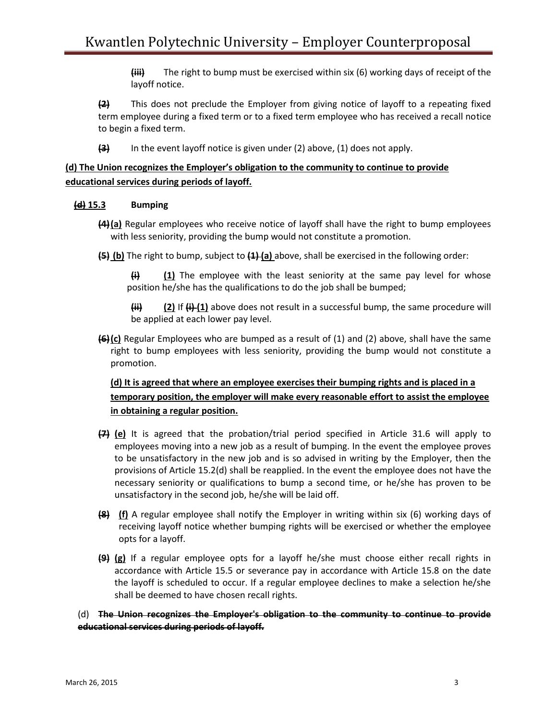**(iii)** The right to bump must be exercised within six (6) working days of receipt of the layoff notice.

**(2)** This does not preclude the Employer from giving notice of layoff to a repeating fixed term employee during a fixed term or to a fixed term employee who has received a recall notice to begin a fixed term.

**(3)** In the event layoff notice is given under (2) above, (1) does not apply.

# **(d) The Union recognizes the Employer's obligation to the community to continue to provide educational services during periods of layoff.**

# **(d) 15.3 Bumping**

- **(4)(a)** Regular employees who receive notice of layoff shall have the right to bump employees with less seniority, providing the bump would not constitute a promotion.
- **(5) (b)** The right to bump, subject to **(1) (a)** above, shall be exercised in the following order:

**(i) (1)** The employee with the least seniority at the same pay level for whose position he/she has the qualifications to do the job shall be bumped;

**(ii) (2)** If **(i) (1)** above does not result in a successful bump, the same procedure will be applied at each lower pay level.

**(6)(c)** Regular Employees who are bumped as a result of (1) and (2) above, shall have the same right to bump employees with less seniority, providing the bump would not constitute a promotion.

**(d) It is agreed that where an employee exercises their bumping rights and is placed in a temporary position, the employer will make every reasonable effort to assist the employee in obtaining a regular position.**

- **(7) (e)** It is agreed that the probation/trial period specified in Article 31.6 will apply to employees moving into a new job as a result of bumping. In the event the employee proves to be unsatisfactory in the new job and is so advised in writing by the Employer, then the provisions of Article 15.2(d) shall be reapplied. In the event the employee does not have the necessary seniority or qualifications to bump a second time, or he/she has proven to be unsatisfactory in the second job, he/she will be laid off.
- **(8) (f)** A regular employee shall notify the Employer in writing within six (6) working days of receiving layoff notice whether bumping rights will be exercised or whether the employee opts for a layoff.
- **(9) (g)** If a regular employee opts for a layoff he/she must choose either recall rights in accordance with Article 15.5 or severance pay in accordance with Article 15.8 on the date the layoff is scheduled to occur. If a regular employee declines to make a selection he/she shall be deemed to have chosen recall rights.

(d) **The Union recognizes the Employer's obligation to the community to continue to provide educational services during periods of layoff.**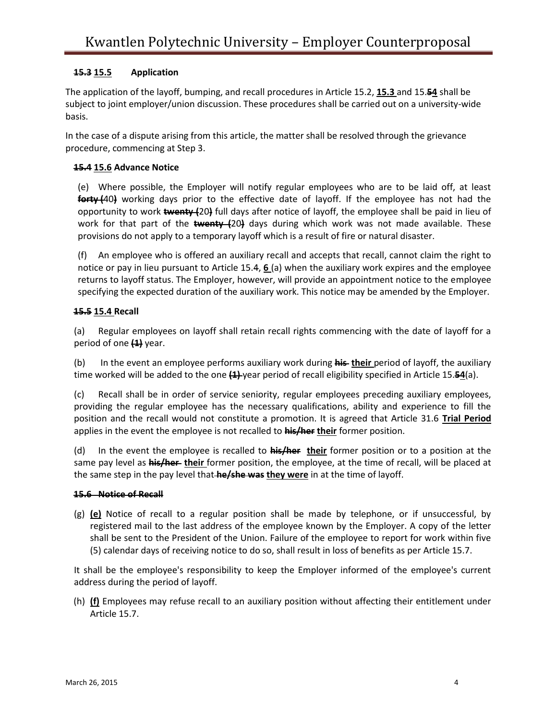# **15.3 15.5 Application**

The application of the layoff, bumping, and recall procedures in Article 15.2, **15.3** and 15.**54** shall be subject to joint employer/union discussion. These procedures shall be carried out on a university-wide basis.

In the case of a dispute arising from this article, the matter shall be resolved through the grievance procedure, commencing at Step 3.

# **15.4 15.6 Advance Notice**

(e) Where possible, the Employer will notify regular employees who are to be laid off, at least **forty (**40**)** working days prior to the effective date of layoff. If the employee has not had the opportunity to work **twenty (**20**)** full days after notice of layoff, the employee shall be paid in lieu of work for that part of the **twenty (**20**)** days during which work was not made available. These provisions do not apply to a temporary layoff which is a result of fire or natural disaster.

(f) An employee who is offered an auxiliary recall and accepts that recall, cannot claim the right to notice or pay in lieu pursuant to Article 15.4, **6** (a) when the auxiliary work expires and the employee returns to layoff status. The Employer, however, will provide an appointment notice to the employee specifying the expected duration of the auxiliary work. This notice may be amended by the Employer.

# **15.5 15.4 Recall**

(a) Regular employees on layoff shall retain recall rights commencing with the date of layoff for a period of one **(1)** year.

(b) In the event an employee performs auxiliary work during **his their** period of layoff, the auxiliary time worked will be added to the one **(1)** year period of recall eligibility specified in Article 15.**54**(a).

(c) Recall shall be in order of service seniority, regular employees preceding auxiliary employees, providing the regular employee has the necessary qualifications, ability and experience to fill the position and the recall would not constitute a promotion. It is agreed that Article 31.6 **Trial Period** applies in the event the employee is not recalled to **his/her their** former position.

(d) In the event the employee is recalled to **his/her their** former position or to a position at the same pay level as **his/her their** former position, the employee, at the time of recall, will be placed at the same step in the pay level that **he/she was they were** in at the time of layoff.

### **15.6 Notice of Recall**

(g) **(e)** Notice of recall to a regular position shall be made by telephone, or if unsuccessful, by registered mail to the last address of the employee known by the Employer. A copy of the letter shall be sent to the President of the Union. Failure of the employee to report for work within five (5) calendar days of receiving notice to do so, shall result in loss of benefits as per Article 15.7.

It shall be the employee's responsibility to keep the Employer informed of the employee's current address during the period of layoff.

(h) **(f)** Employees may refuse recall to an auxiliary position without affecting their entitlement under Article 15.7.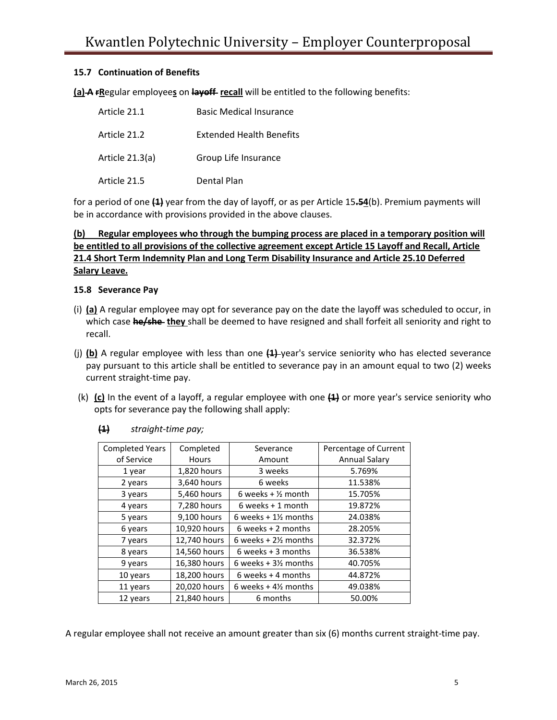# **15.7 Continuation of Benefits**

**(a)** A **FRegular employees** on layoff recall will be entitled to the following benefits:

| Article 21.1    | <b>Basic Medical Insurance</b>  |
|-----------------|---------------------------------|
| Article 21.2    | <b>Extended Health Benefits</b> |
| Article 21.3(a) | Group Life Insurance            |
| Article 21.5    | Dental Plan                     |

for a period of one **(1)** year from the day of layoff, or as per Article 15**.54**(b). Premium payments will be in accordance with provisions provided in the above clauses.

# **(b) Regular employees who through the bumping process are placed in a temporary position will be entitled to all provisions of the collective agreement except Article 15 Layoff and Recall, Article 21.4 Short Term Indemnity Plan and Long Term Disability Insurance and Article 25.10 Deferred Salary Leave.**

### **15.8 Severance Pay**

- (i) **(a)** A regular employee may opt for severance pay on the date the layoff was scheduled to occur, in which case **he/she they** shall be deemed to have resigned and shall forfeit all seniority and right to recall.
- (j) **(b)** A regular employee with less than one **(1)** year's service seniority who has elected severance pay pursuant to this article shall be entitled to severance pay in an amount equal to two (2) weeks current straight-time pay.
- (k) **(c)** In the event of a layoff, a regular employee with one **(1)** or more year's service seniority who opts for severance pay the following shall apply:

| <b>Completed Years</b> | Completed    | Severance                      | Percentage of Current |
|------------------------|--------------|--------------------------------|-----------------------|
| of Service             | <b>Hours</b> | Amount                         | Annual Salary         |
| 1 year                 | 1,820 hours  | 3 weeks                        | 5.769%                |
| 2 years                | 3,640 hours  | 6 weeks                        | 11.538%               |
| 3 years                | 5,460 hours  | 6 weeks + $\frac{1}{2}$ month  | 15.705%               |
| 4 years                | 7,280 hours  | $6$ weeks + 1 month            | 19.872%               |
| 5 years                | 9,100 hours  | 6 weeks $+1\frac{1}{2}$ months | 24.038%               |
| 6 years                | 10,920 hours | $6$ weeks + 2 months           | 28.205%               |
| 7 years                | 12,740 hours | 6 weeks $+2\frac{1}{2}$ months | 32.372%               |
| 8 years                | 14,560 hours | 6 weeks $+3$ months            | 36.538%               |
| 9 years                | 16,380 hours | 6 weeks $+3\frac{1}{2}$ months | 40.705%               |
| 10 years               | 18,200 hours | 6 weeks $+$ 4 months           | 44.872%               |
| 11 years               | 20,020 hours | 6 weeks $+4\frac{1}{2}$ months | 49.038%               |
| 12 years               | 21,840 hours | 6 months                       | 50.00%                |

### **(1)** *straight-time pay;*

A regular employee shall not receive an amount greater than six (6) months current straight-time pay.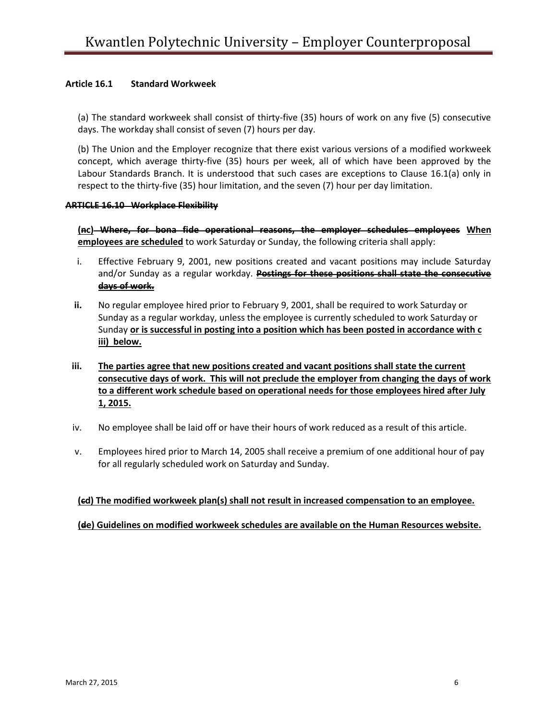# **Article 16.1 Standard Workweek**

(a) The standard workweek shall consist of thirty-five (35) hours of work on any five (5) consecutive days. The workday shall consist of seven (7) hours per day.

(b) The Union and the Employer recognize that there exist various versions of a modified workweek concept, which average thirty-five (35) hours per week, all of which have been approved by the Labour Standards Branch. It is understood that such cases are exceptions to Clause 16.1(a) only in respect to the thirty-five (35) hour limitation, and the seven (7) hour per day limitation.

#### **ARTICLE 16.10 Workplace Flexibility**

**(nc) Where, for bona fide operational reasons, the employer schedules employees When employees are scheduled** to work Saturday or Sunday, the following criteria shall apply:

- i. Effective February 9, 2001, new positions created and vacant positions may include Saturday and/or Sunday as a regular workday. **Postings for these positions shall state the consecutive days of work.**
- **ii.** No regular employee hired prior to February 9, 2001, shall be required to work Saturday or Sunday as a regular workday, unless the employee is currently scheduled to work Saturday or Sunday **or is successful in posting into a position which has been posted in accordance with c iii) below.**
- **iii. The parties agree that new positions created and vacant positions shall state the current consecutive days of work. This will not preclude the employer from changing the days of work to a different work schedule based on operational needs for those employees hired after July 1, 2015.**
- iv. No employee shall be laid off or have their hours of work reduced as a result of this article.
- v. Employees hired prior to March 14, 2005 shall receive a premium of one additional hour of pay for all regularly scheduled work on Saturday and Sunday.

### **(cd) The modified workweek plan(s) shall not result in increased compensation to an employee.**

### **(de) Guidelines on modified workweek schedules are available on the Human Resources website.**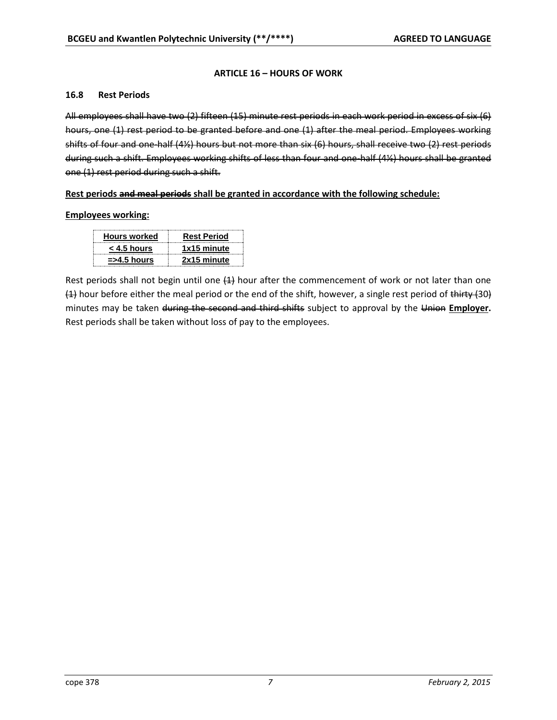# **ARTICLE 16 – HOURS OF WORK**

### **16.8 Rest Periods**

All employees shall have two (2) fifteen (15) minute rest periods in each work period in excess of six (6) hours, one (1) rest period to be granted before and one (1) after the meal period. Employees working shifts of four and one-half (4½) hours but not more than six (6) hours, shall receive two (2) rest periods during such a shift. Employees working shifts of less than four and one-half (4½) hours shall be granted one (1) rest period during such a shift.

# **Rest periods and meal periods shall be granted in accordance with the following schedule:**

### **Employees working:**

| <b>Hours worked</b>   | <b>Rest Period</b> |
|-----------------------|--------------------|
| $<$ 4.5 hours         | 1x15 minute        |
| $\approx$ ->4.5 hours | 2x15 minute        |

Rest periods shall not begin until one  $(4)$  hour after the commencement of work or not later than one  $(4)$  hour before either the meal period or the end of the shift, however, a single rest period of thirty  $(30)$ minutes may be taken during the second and third shifts subject to approval by the Union **Employer.** Rest periods shall be taken without loss of pay to the employees.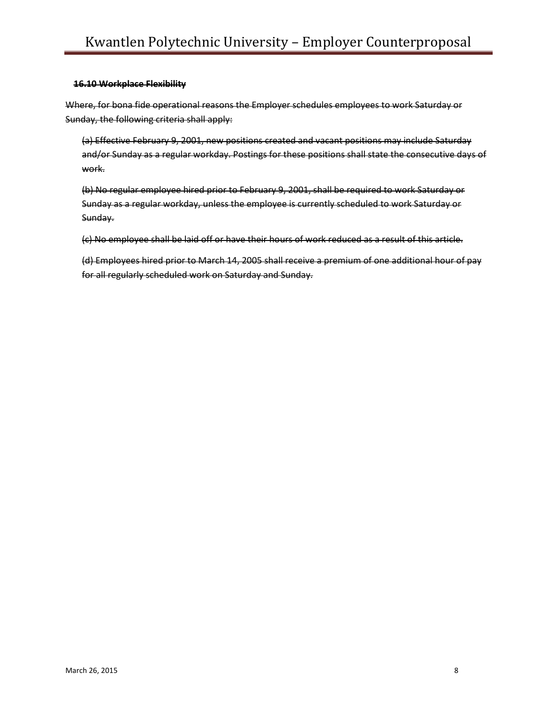#### **16.10 Workplace Flexibility**

Where, for bona fide operational reasons the Employer schedules employees to work Saturday or Sunday, the following criteria shall apply:

(a) Effective February 9, 2001, new positions created and vacant positions may include Saturday and/or Sunday as a regular workday. Postings for these positions shall state the consecutive days of work.

(b) No regular employee hired prior to February 9, 2001, shall be required to work Saturday or Sunday as a regular workday, unless the employee is currently scheduled to work Saturday or Sunday.

(c) No employee shall be laid off or have their hours of work reduced as a result of this article.

(d) Employees hired prior to March 14, 2005 shall receive a premium of one additional hour of pay for all regularly scheduled work on Saturday and Sunday.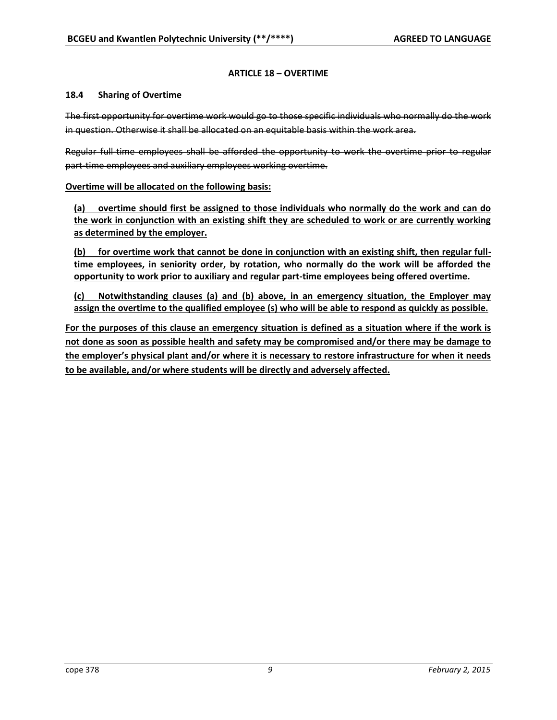# **ARTICLE 18 – OVERTIME**

#### **18.4 Sharing of Overtime**

The first opportunity for overtime work would go to those specific individuals who normally do the work in question. Otherwise it shall be allocated on an equitable basis within the work area.

Regular full-time employees shall be afforded the opportunity to work the overtime prior to regular part-time employees and auxiliary employees working overtime.

### **Overtime will be allocated on the following basis:**

**(a) overtime should first be assigned to those individuals who normally do the work and can do the work in conjunction with an existing shift they are scheduled to work or are currently working as determined by the employer.**

**(b) for overtime work that cannot be done in conjunction with an existing shift, then regular fulltime employees, in seniority order, by rotation, who normally do the work will be afforded the opportunity to work prior to auxiliary and regular part-time employees being offered overtime.**

**(c) Notwithstanding clauses (a) and (b) above, in an emergency situation, the Employer may assign the overtime to the qualified employee (s) who will be able to respond as quickly as possible.** 

**For the purposes of this clause an emergency situation is defined as a situation where if the work is not done as soon as possible health and safety may be compromised and/or there may be damage to the employer's physical plant and/or where it is necessary to restore infrastructure for when it needs to be available, and/or where students will be directly and adversely affected.**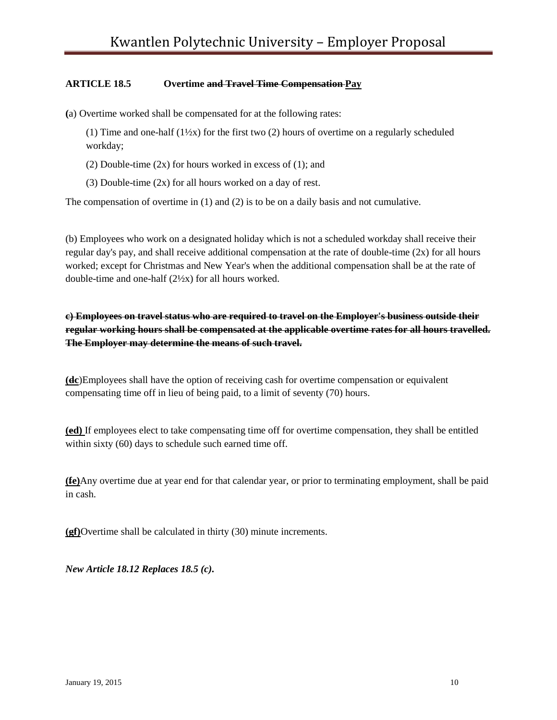# **ARTICLE 18.5 Overtime and Travel Time Compensation Pay**

**(**a) Overtime worked shall be compensated for at the following rates:

(1) Time and one-half  $(1\frac{1}{2}x)$  for the first two (2) hours of overtime on a regularly scheduled workday;

(2) Double-time  $(2x)$  for hours worked in excess of  $(1)$ ; and

(3) Double-time (2x) for all hours worked on a day of rest.

The compensation of overtime in (1) and (2) is to be on a daily basis and not cumulative.

(b) Employees who work on a designated holiday which is not a scheduled workday shall receive their regular day's pay, and shall receive additional compensation at the rate of double-time (2x) for all hours worked; except for Christmas and New Year's when the additional compensation shall be at the rate of double-time and one-half (2½x) for all hours worked.

**c) Employees on travel status who are required to travel on the Employer's business outside their regular working hours shall be compensated at the applicable overtime rates for all hours travelled. The Employer may determine the means of such travel.**

**(dc**)Employees shall have the option of receiving cash for overtime compensation or equivalent compensating time off in lieu of being paid, to a limit of seventy (70) hours.

**(ed)** If employees elect to take compensating time off for overtime compensation, they shall be entitled within sixty (60) days to schedule such earned time off.

**(fe)**Any overtime due at year end for that calendar year, or prior to terminating employment, shall be paid in cash.

**(gf)**Overtime shall be calculated in thirty (30) minute increments.

*New Article 18.12 Replaces 18.5 (c).*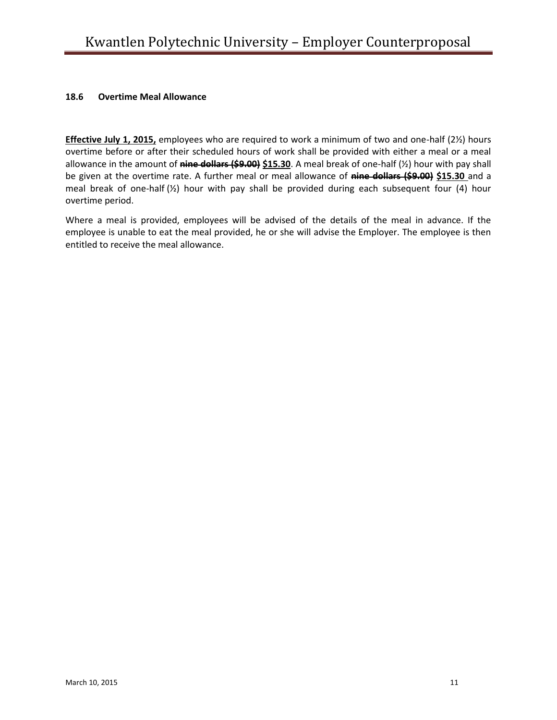### **18.6 Overtime Meal Allowance**

**Effective July 1, 2015,** employees who are required to work a minimum of two and one-half (2½) hours overtime before or after their scheduled hours of work shall be provided with either a meal or a meal allowance in the amount of **nine dollars (\$9.00) \$15.30**. A meal break of one-half (½) hour with pay shall be given at the overtime rate. A further meal or meal allowance of **nine dollars (\$9.00) \$15.30** and a meal break of one-half (½) hour with pay shall be provided during each subsequent four (4) hour overtime period.

Where a meal is provided, employees will be advised of the details of the meal in advance. If the employee is unable to eat the meal provided, he or she will advise the Employer. The employee is then entitled to receive the meal allowance.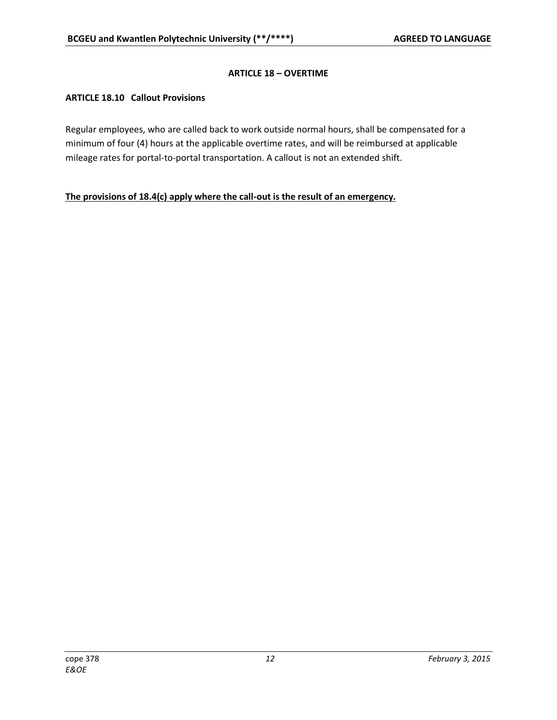# **ARTICLE 18 – OVERTIME**

# **ARTICLE 18.10 Callout Provisions**

Regular employees, who are called back to work outside normal hours, shall be compensated for a minimum of four (4) hours at the applicable overtime rates, and will be reimbursed at applicable mileage rates for portal-to-portal transportation. A callout is not an extended shift.

# **The provisions of 18.4(c) apply where the call-out is the result of an emergency.**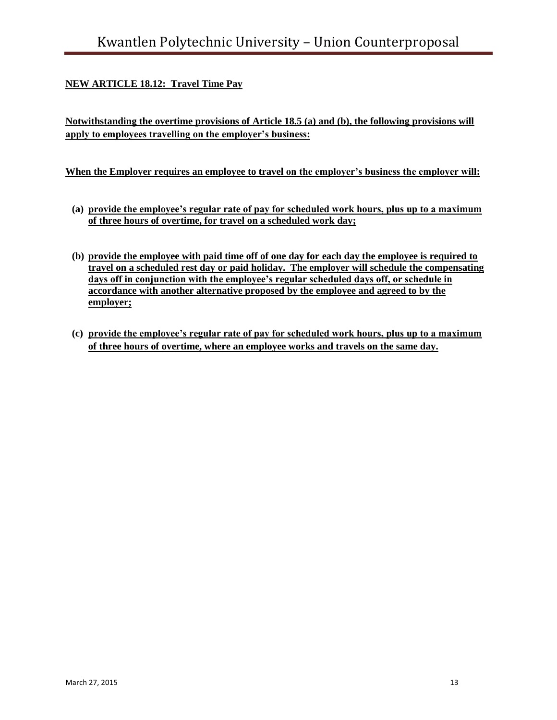# **NEW ARTICLE 18.12: Travel Time Pay**

**Notwithstanding the overtime provisions of Article 18.5 (a) and (b), the following provisions will apply to employees travelling on the employer's business:**

# **When the Employer requires an employee to travel on the employer's business the employer will:**

- **(a) provide the employee's regular rate of pay for scheduled work hours, plus up to a maximum of three hours of overtime, for travel on a scheduled work day;**
- **(b) provide the employee with paid time off of one day for each day the employee is required to travel on a scheduled rest day or paid holiday. The employer will schedule the compensating days off in conjunction with the employee's regular scheduled days off, or schedule in accordance with another alternative proposed by the employee and agreed to by the employer;**
- **(c) provide the employee's regular rate of pay for scheduled work hours, plus up to a maximum of three hours of overtime, where an employee works and travels on the same day.**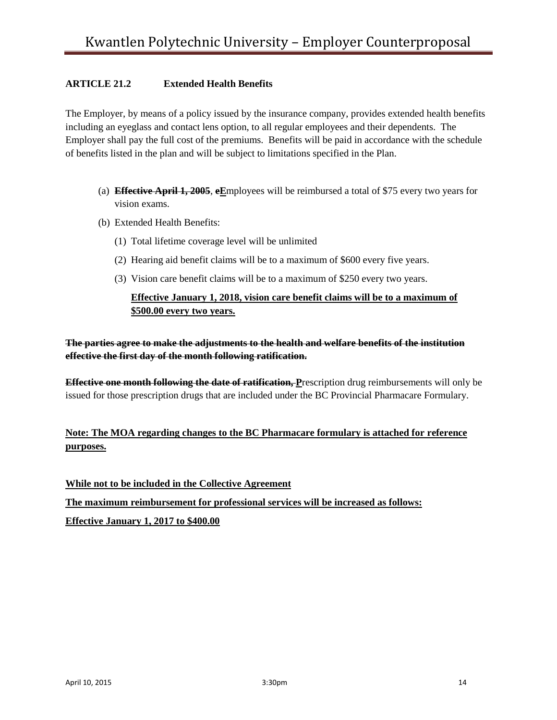# **ARTICLE 21.2 Extended Health Benefits**

The Employer, by means of a policy issued by the insurance company, provides extended health benefits including an eyeglass and contact lens option, to all regular employees and their dependents. The Employer shall pay the full cost of the premiums. Benefits will be paid in accordance with the schedule of benefits listed in the plan and will be subject to limitations specified in the Plan.

- (a) **Effective April 1, 2005**, **eE**mployees will be reimbursed a total of \$75 every two years for vision exams.
- (b) Extended Health Benefits:
	- (1) Total lifetime coverage level will be unlimited
	- (2) Hearing aid benefit claims will be to a maximum of \$600 every five years.
	- (3) Vision care benefit claims will be to a maximum of \$250 every two years.

# **Effective January 1, 2018, vision care benefit claims will be to a maximum of \$500.00 every two years.**

**The parties agree to make the adjustments to the health and welfare benefits of the institution effective the first day of the month following ratification.**

**Effective one month following the date of ratification, P**rescription drug reimbursements will only be issued for those prescription drugs that are included under the BC Provincial Pharmacare Formulary.

# **Note: The MOA regarding changes to the BC Pharmacare formulary is attached for reference purposes.**

**While not to be included in the Collective Agreement The maximum reimbursement for professional services will be increased as follows: Effective January 1, 2017 to \$400.00**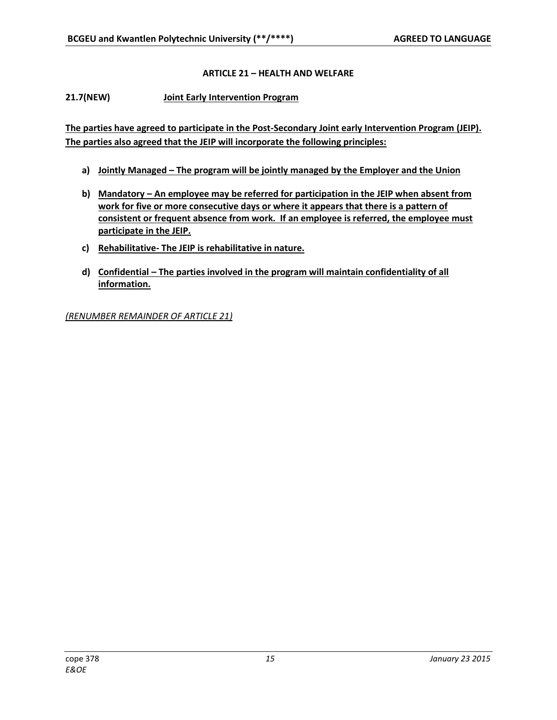# **ARTICLE 21 – HEALTH AND WELFARE**

**21.7(NEW) Joint Early Intervention Program**

**The parties have agreed to participate in the Post-Secondary Joint early Intervention Program (JEIP). The parties also agreed that the JEIP will incorporate the following principles:**

- **a) Jointly Managed – The program will be jointly managed by the Employer and the Union**
- **b) Mandatory – An employee may be referred for participation in the JEIP when absent from work for five or more consecutive days or where it appears that there is a pattern of consistent or frequent absence from work. If an employee is referred, the employee must participate in the JEIP.**
- **c) Rehabilitative- The JEIP is rehabilitative in nature.**
- **d) Confidential – The parties involved in the program will maintain confidentiality of all information.**

*(RENUMBER REMAINDER OF ARTICLE 21)*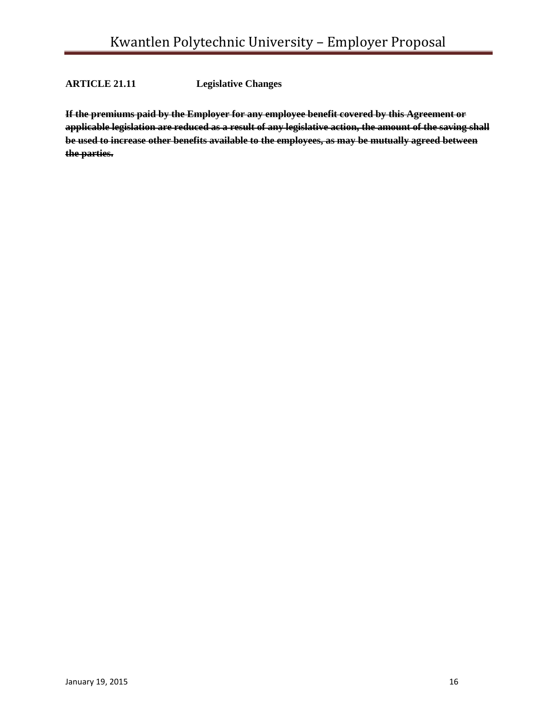**ARTICLE 21.11 Legislative Changes**

**If the premiums paid by the Employer for any employee benefit covered by this Agreement or applicable legislation are reduced as a result of any legislative action, the amount of the saving shall be used to increase other benefits available to the employees, as may be mutually agreed between the parties.**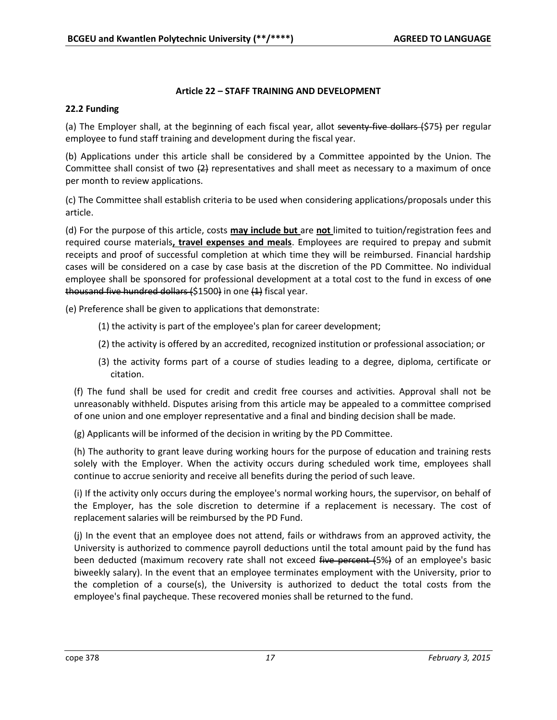# **Article 22 – STAFF TRAINING AND DEVELOPMENT**

# **22.2 Funding**

(a) The Employer shall, at the beginning of each fiscal year, allot seventy five dollars (\$75) per regular employee to fund staff training and development during the fiscal year.

(b) Applications under this article shall be considered by a Committee appointed by the Union. The Committee shall consist of two  $\{2\}$  representatives and shall meet as necessary to a maximum of once per month to review applications.

(c) The Committee shall establish criteria to be used when considering applications/proposals under this article.

(d) For the purpose of this article, costs **may include but** are **not** limited to tuition/registration fees and required course materials**, travel expenses and meals**. Employees are required to prepay and submit receipts and proof of successful completion at which time they will be reimbursed. Financial hardship cases will be considered on a case by case basis at the discretion of the PD Committee. No individual employee shall be sponsored for professional development at a total cost to the fund in excess of one thousand five hundred dollars  $(51500)$  in one  $(1)$  fiscal year.

(e) Preference shall be given to applications that demonstrate:

- (1) the activity is part of the employee's plan for career development;
- (2) the activity is offered by an accredited, recognized institution or professional association; or
- (3) the activity forms part of a course of studies leading to a degree, diploma, certificate or citation.

(f) The fund shall be used for credit and credit free courses and activities. Approval shall not be unreasonably withheld. Disputes arising from this article may be appealed to a committee comprised of one union and one employer representative and a final and binding decision shall be made.

(g) Applicants will be informed of the decision in writing by the PD Committee.

(h) The authority to grant leave during working hours for the purpose of education and training rests solely with the Employer. When the activity occurs during scheduled work time, employees shall continue to accrue seniority and receive all benefits during the period of such leave.

(i) If the activity only occurs during the employee's normal working hours, the supervisor, on behalf of the Employer, has the sole discretion to determine if a replacement is necessary. The cost of replacement salaries will be reimbursed by the PD Fund.

(j) In the event that an employee does not attend, fails or withdraws from an approved activity, the University is authorized to commence payroll deductions until the total amount paid by the fund has been deducted (maximum recovery rate shall not exceed five percent (5%) of an employee's basic biweekly salary). In the event that an employee terminates employment with the University, prior to the completion of a course(s), the University is authorized to deduct the total costs from the employee's final paycheque. These recovered monies shall be returned to the fund.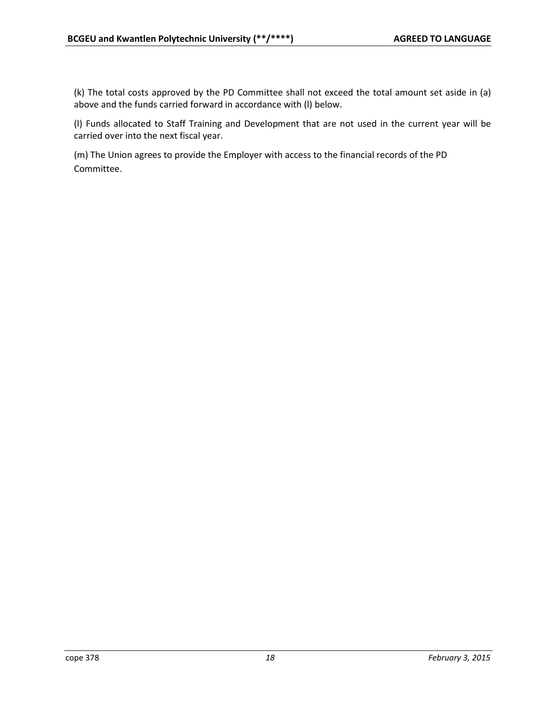(k) The total costs approved by the PD Committee shall not exceed the total amount set aside in (a) above and the funds carried forward in accordance with (l) below.

(l) Funds allocated to Staff Training and Development that are not used in the current year will be carried over into the next fiscal year.

(m) The Union agrees to provide the Employer with access to the financial records of the PD Committee.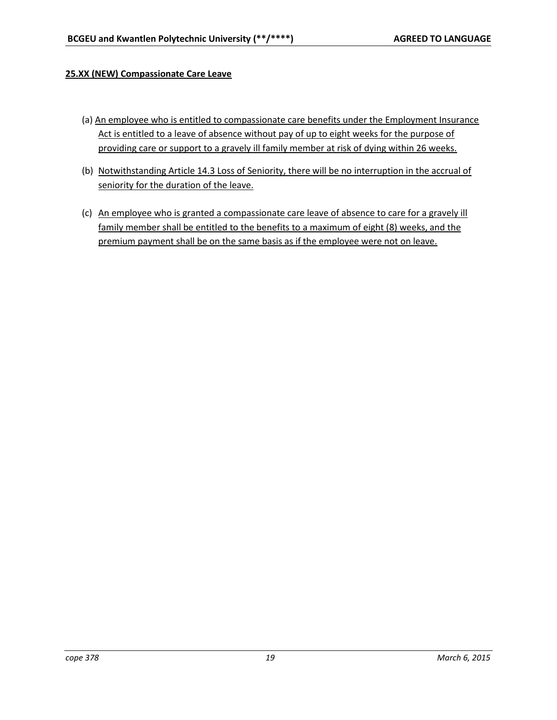# **25.XX (NEW) Compassionate Care Leave**

- (a) An employee who is entitled to compassionate care benefits under the Employment Insurance Act is entitled to a leave of absence without pay of up to eight weeks for the purpose of providing care or support to a gravely ill family member at risk of dying within 26 weeks.
- (b) Notwithstanding Article 14.3 Loss of Seniority, there will be no interruption in the accrual of seniority for the duration of the leave.
- (c) An employee who is granted a compassionate care leave of absence to care for a gravely ill family member shall be entitled to the benefits to a maximum of eight (8) weeks, and the premium payment shall be on the same basis as if the employee were not on leave.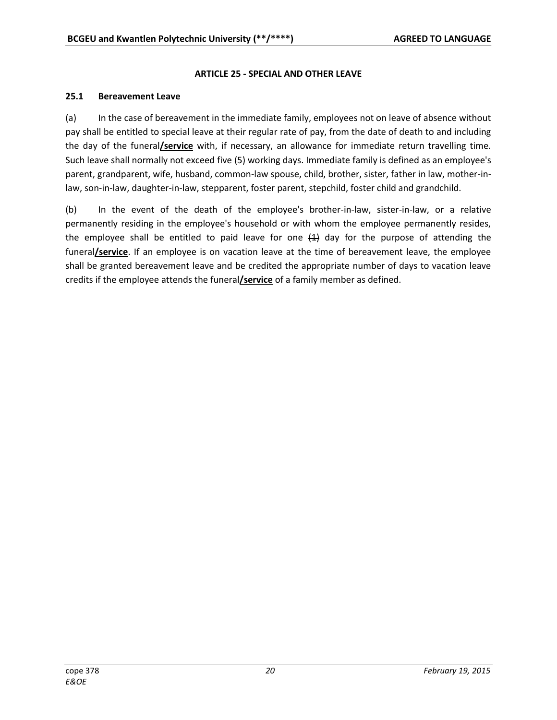# **ARTICLE 25 - SPECIAL AND OTHER LEAVE**

### **25.1 Bereavement Leave**

(a) In the case of bereavement in the immediate family, employees not on leave of absence without pay shall be entitled to special leave at their regular rate of pay, from the date of death to and including the day of the funeral**/service** with, if necessary, an allowance for immediate return travelling time. Such leave shall normally not exceed five (5) working days. Immediate family is defined as an employee's parent, grandparent, wife, husband, common-law spouse, child, brother, sister, father in law, mother-inlaw, son-in-law, daughter-in-law, stepparent, foster parent, stepchild, foster child and grandchild.

(b) In the event of the death of the employee's brother-in-law, sister-in-law, or a relative permanently residing in the employee's household or with whom the employee permanently resides, the employee shall be entitled to paid leave for one  $(1)$  day for the purpose of attending the funeral**/service**. If an employee is on vacation leave at the time of bereavement leave, the employee shall be granted bereavement leave and be credited the appropriate number of days to vacation leave credits if the employee attends the funeral**/service** of a family member as defined.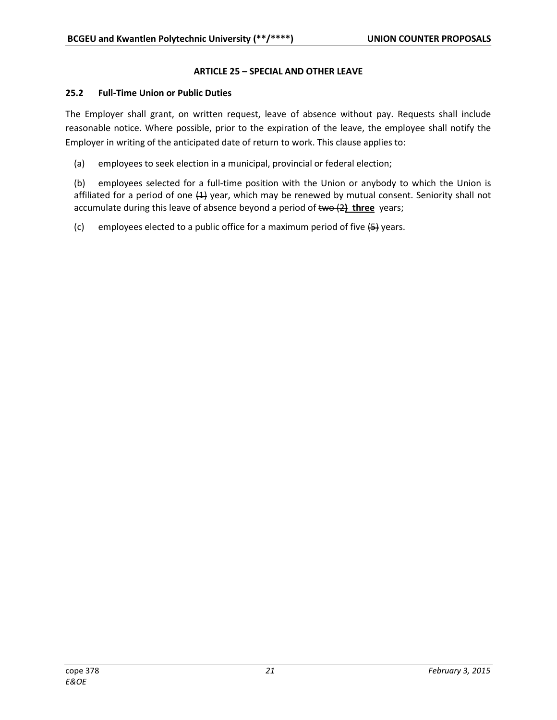# **ARTICLE 25 – SPECIAL AND OTHER LEAVE**

# **25.2 Full-Time Union or Public Duties**

The Employer shall grant, on written request, leave of absence without pay. Requests shall include reasonable notice. Where possible, prior to the expiration of the leave, the employee shall notify the Employer in writing of the anticipated date of return to work. This clause applies to:

(a) employees to seek election in a municipal, provincial or federal election;

(b) employees selected for a full-time position with the Union or anybody to which the Union is affiliated for a period of one  $(1)$  year, which may be renewed by mutual consent. Seniority shall not accumulate during this leave of absence beyond a period of two (2**) three** years;

(c) employees elected to a public office for a maximum period of five  $\left\{\frac{5}{7}\right\}$  years.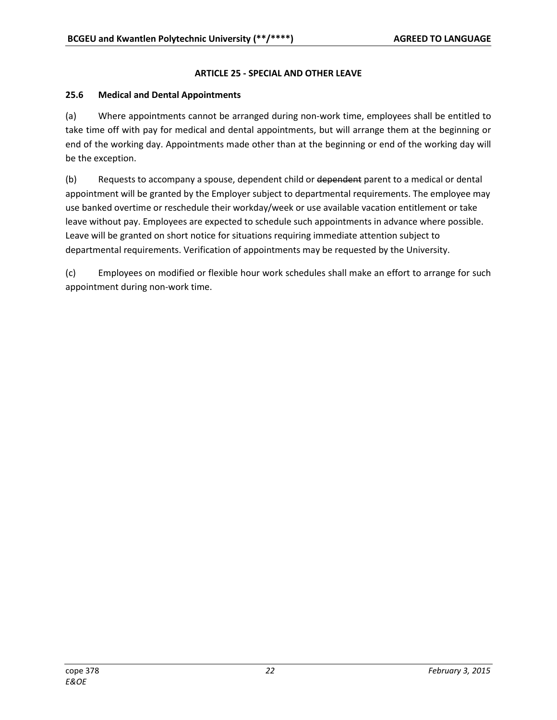# **ARTICLE 25 - SPECIAL AND OTHER LEAVE**

# **25.6 Medical and Dental Appointments**

(a) Where appointments cannot be arranged during non-work time, employees shall be entitled to take time off with pay for medical and dental appointments, but will arrange them at the beginning or end of the working day. Appointments made other than at the beginning or end of the working day will be the exception.

(b) Requests to accompany a spouse, dependent child or dependent parent to a medical or dental appointment will be granted by the Employer subject to departmental requirements. The employee may use banked overtime or reschedule their workday/week or use available vacation entitlement or take leave without pay. Employees are expected to schedule such appointments in advance where possible. Leave will be granted on short notice for situations requiring immediate attention subject to departmental requirements. Verification of appointments may be requested by the University.

(c) Employees on modified or flexible hour work schedules shall make an effort to arrange for such appointment during non-work time.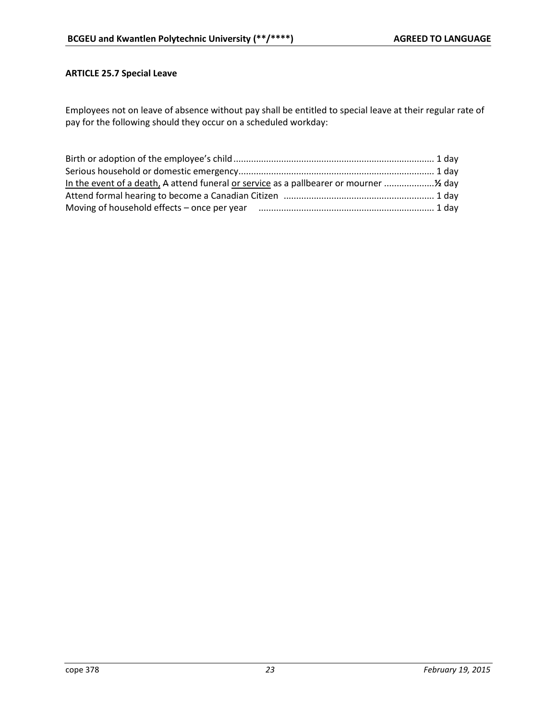# **ARTICLE 25.7 Special Leave**

Employees not on leave of absence without pay shall be entitled to special leave at their regular rate of pay for the following should they occur on a scheduled workday: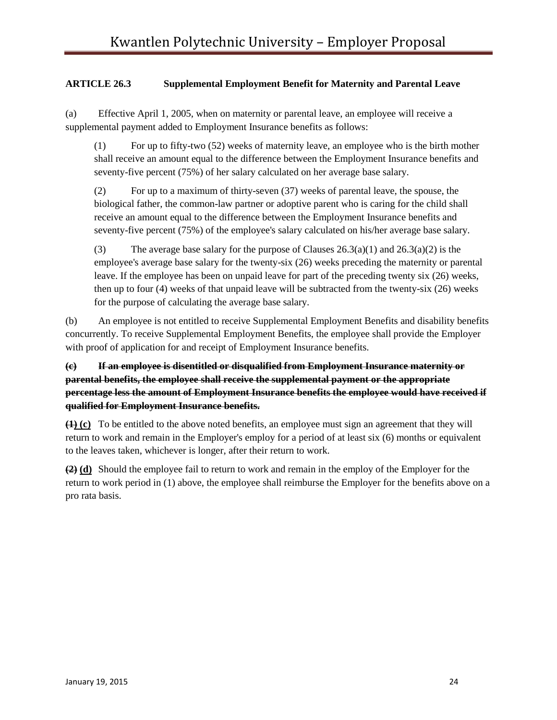# **ARTICLE 26.3 Supplemental Employment Benefit for Maternity and Parental Leave**

(a) Effective April 1, 2005, when on maternity or parental leave, an employee will receive a supplemental payment added to Employment Insurance benefits as follows:

(1) For up to fifty-two (52) weeks of maternity leave, an employee who is the birth mother shall receive an amount equal to the difference between the Employment Insurance benefits and seventy-five percent (75%) of her salary calculated on her average base salary.

(2) For up to a maximum of thirty-seven (37) weeks of parental leave, the spouse, the biological father, the common-law partner or adoptive parent who is caring for the child shall receive an amount equal to the difference between the Employment Insurance benefits and seventy-five percent (75%) of the employee's salary calculated on his/her average base salary.

(3) The average base salary for the purpose of Clauses  $26.3(a)(1)$  and  $26.3(a)(2)$  is the employee's average base salary for the twenty-six (26) weeks preceding the maternity or parental leave. If the employee has been on unpaid leave for part of the preceding twenty six (26) weeks, then up to four (4) weeks of that unpaid leave will be subtracted from the twenty-six (26) weeks for the purpose of calculating the average base salary.

(b) An employee is not entitled to receive Supplemental Employment Benefits and disability benefits concurrently. To receive Supplemental Employment Benefits, the employee shall provide the Employer with proof of application for and receipt of Employment Insurance benefits.

**(c) If an employee is disentitled or disqualified from Employment Insurance maternity or parental benefits, the employee shall receive the supplemental payment or the appropriate percentage less the amount of Employment Insurance benefits the employee would have received if qualified for Employment Insurance benefits.**

**(1) (c)** To be entitled to the above noted benefits, an employee must sign an agreement that they will return to work and remain in the Employer's employ for a period of at least six (6) months or equivalent to the leaves taken, whichever is longer, after their return to work.

**(2) (d)** Should the employee fail to return to work and remain in the employ of the Employer for the return to work period in (1) above, the employee shall reimburse the Employer for the benefits above on a pro rata basis.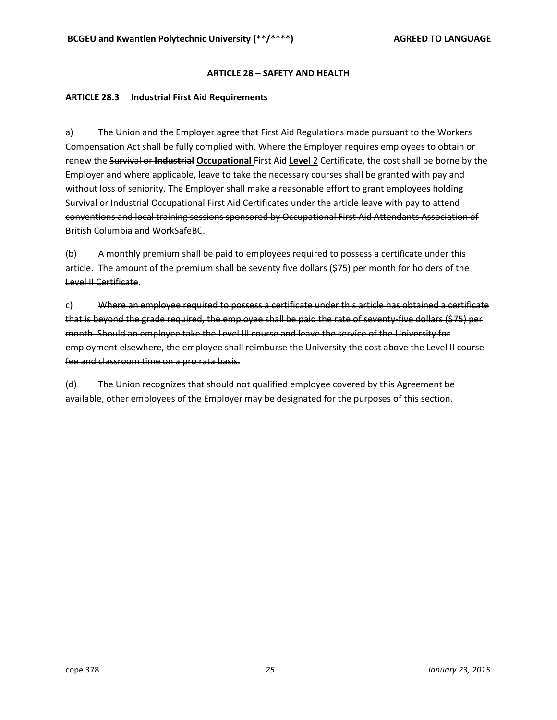# **ARTICLE 28 – SAFETY AND HEALTH**

### **ARTICLE 28.3 Industrial First Aid Requirements**

a) The Union and the Employer agree that First Aid Regulations made pursuant to the Workers Compensation Act shall be fully complied with. Where the Employer requires employees to obtain or renew the Survival or **Industrial Occupational** First Aid **Level** 2 Certificate, the cost shall be borne by the Employer and where applicable, leave to take the necessary courses shall be granted with pay and without loss of seniority. The Employer shall make a reasonable effort to grant employees holding Survival or Industrial Occupational First Aid Certificates under the article leave with pay to attend conventions and local training sessions sponsored by Occupational First Aid Attendants Association of British Columbia and WorkSafeBC.

(b) A monthly premium shall be paid to employees required to possess a certificate under this article. The amount of the premium shall be seventy five dollars (\$75) per month for holders of the Level II Certificate.

c) Where an employee required to possess a certificate under this article has obtained a certificate that is beyond the grade required, the employee shall be paid the rate of seventy-five dollars (\$75) per month. Should an employee take the Level III course and leave the service of the University for employment elsewhere, the employee shall reimburse the University the cost above the Level II course fee and classroom time on a pro rata basis.

(d) The Union recognizes that should not qualified employee covered by this Agreement be available, other employees of the Employer may be designated for the purposes of this section.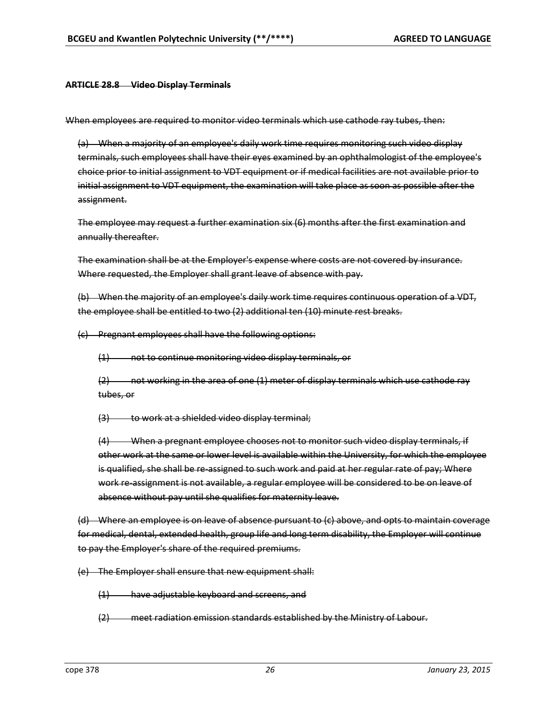#### **ARTICLE 28.8 Video Display Terminals**

When employees are required to monitor video terminals which use cathode ray tubes, then:

(a) When a majority of an employee's daily work time requires monitoring such video display terminals, such employees shall have their eyes examined by an ophthalmologist of the employee's choice prior to initial assignment to VDT equipment or if medical facilities are not available prior to initial assignment to VDT equipment, the examination will take place as soon as possible after the assignment.

The employee may request a further examination six (6) months after the first examination and annually thereafter.

The examination shall be at the Employer's expense where costs are not covered by insurance. Where requested, the Employer shall grant leave of absence with pay.

(b) When the majority of an employee's daily work time requires continuous operation of a VDT, the employee shall be entitled to two (2) additional ten (10) minute rest breaks.

(c) Pregnant employees shall have the following options:

(1) not to continue monitoring video display terminals, or

(2) not working in the area of one (1) meter of display terminals which use cathode ray tubes, or

(3) to work at a shielded video display terminal;

(4) When a pregnant employee chooses not to monitor such video display terminals, if other work at the same or lower level is available within the University, for which the employee is qualified, she shall be re-assigned to such work and paid at her regular rate of pay; Where work re-assignment is not available, a regular employee will be considered to be on leave of absence without pay until she qualifies for maternity leave.

(d) Where an employee is on leave of absence pursuant to (c) above, and opts to maintain coverage for medical, dental, extended health, group life and long term disability, the Employer will continue to pay the Employer's share of the required premiums.

(e) The Employer shall ensure that new equipment shall:

(1) have adjustable keyboard and screens, and

(2) meet radiation emission standards established by the Ministry of Labour.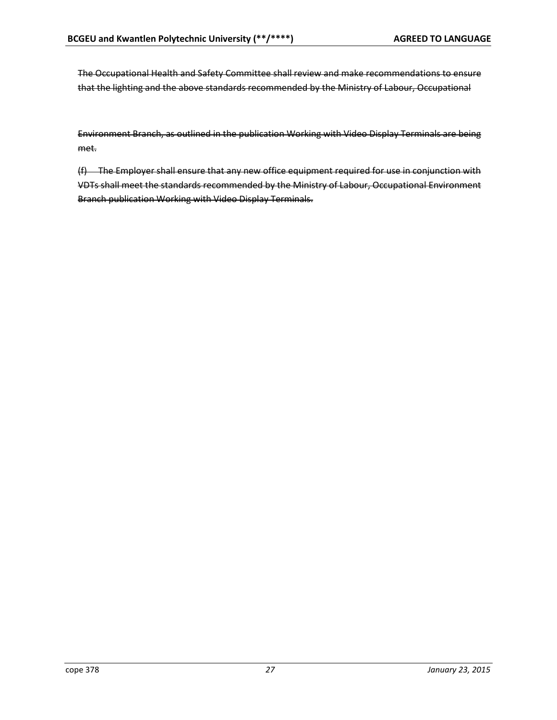The Occupational Health and Safety Committee shall review and make recommendations to ensure that the lighting and the above standards recommended by the Ministry of Labour, Occupational

Environment Branch, as outlined in the publication Working with Video Display Terminals are being met.

(f) The Employer shall ensure that any new office equipment required for use in conjunction with VDTs shall meet the standards recommended by the Ministry of Labour, Occupational Environment Branch publication Working with Video Display Terminals.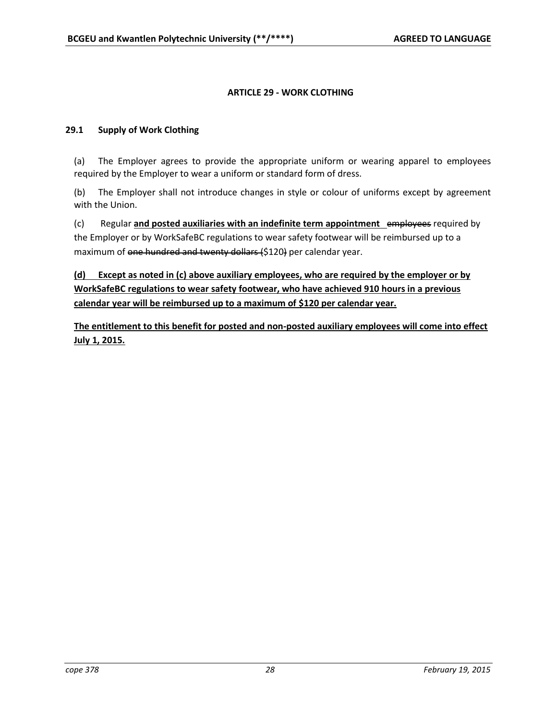# **ARTICLE 29 - WORK CLOTHING**

# **29.1 Supply of Work Clothing**

(a) The Employer agrees to provide the appropriate uniform or wearing apparel to employees required by the Employer to wear a uniform or standard form of dress.

(b) The Employer shall not introduce changes in style or colour of uniforms except by agreement with the Union.

(c) Regular **and posted auxiliaries with an indefinite term appointment** employees required by the Employer or by WorkSafeBC regulations to wear safety footwear will be reimbursed up to a maximum of one hundred and twenty dollars (\$120) per calendar year.

**(d) Except as noted in (c) above auxiliary employees, who are required by the employer or by WorkSafeBC regulations to wear safety footwear, who have achieved 910 hours in a previous calendar year will be reimbursed up to a maximum of \$120 per calendar year.** 

**The entitlement to this benefit for posted and non-posted auxiliary employees will come into effect July 1, 2015.**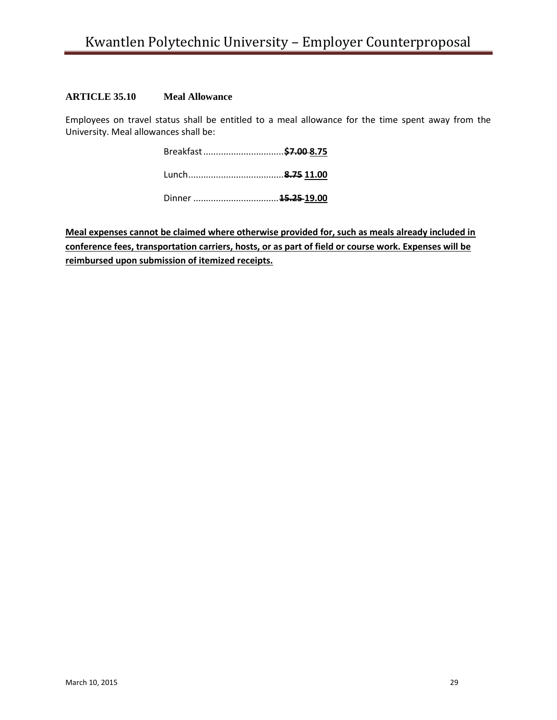# **ARTICLE 35.10 Meal Allowance**

Employees on travel status shall be entitled to a meal allowance for the time spent away from the University. Meal allowances shall be:

**Meal expenses cannot be claimed where otherwise provided for, such as meals already included in conference fees, transportation carriers, hosts, or as part of field or course work. Expenses will be reimbursed upon submission of itemized receipts.**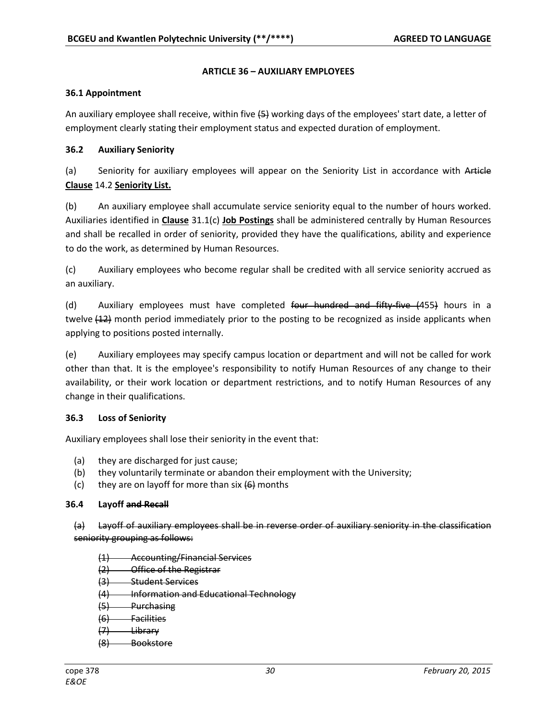# **ARTICLE 36 – AUXILIARY EMPLOYEES**

### **36.1 Appointment**

An auxiliary employee shall receive, within five  $(5)$  working days of the employees' start date, a letter of employment clearly stating their employment status and expected duration of employment.

# **36.2 Auxiliary Seniority**

(a) Seniority for auxiliary employees will appear on the Seniority List in accordance with Article **Clause** 14.2 **Seniority List.**

(b) An auxiliary employee shall accumulate service seniority equal to the number of hours worked. Auxiliaries identified in **Clause** 31.1(c) **Job Postings** shall be administered centrally by Human Resources and shall be recalled in order of seniority, provided they have the qualifications, ability and experience to do the work, as determined by Human Resources.

(c) Auxiliary employees who become regular shall be credited with all service seniority accrued as an auxiliary.

(d) Auxiliary employees must have completed four hundred and fifty-five (455) hours in a twelve (42) month period immediately prior to the posting to be recognized as inside applicants when applying to positions posted internally.

(e) Auxiliary employees may specify campus location or department and will not be called for work other than that. It is the employee's responsibility to notify Human Resources of any change to their availability, or their work location or department restrictions, and to notify Human Resources of any change in their qualifications.

### **36.3 Loss of Seniority**

Auxiliary employees shall lose their seniority in the event that:

- (a) they are discharged for just cause;
- (b) they voluntarily terminate or abandon their employment with the University;
- (c) they are on layoff for more than six  $\left\{6\right\}$  months

### **36.4 Layoff and Recall**

(a) Layoff of auxiliary employees shall be in reverse order of auxiliary seniority in the classification seniority grouping as follows:

- (1) Accounting/Financial Services
- (2) Office of the Registrar
- (3) Student Services
- (4) Information and Educational Technology
- $(5)$  Purchasing
- (6) Facilities
- (7) Library
- (8) Bookstore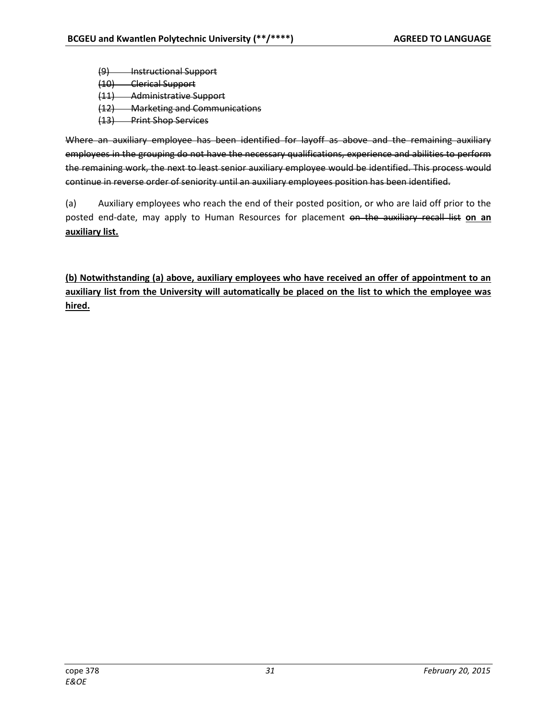(9) Instructional Support (10) Clerical Support (11) Administrative Support (12) Marketing and Communications

(13) Print Shop Services

Where an auxiliary employee has been identified for layoff as above and the remaining auxiliary employees in the grouping do not have the necessary qualifications, experience and abilities to perform the remaining work, the next to least senior auxiliary employee would be identified. This process would continue in reverse order of seniority until an auxiliary employees position has been identified.

(a) Auxiliary employees who reach the end of their posted position, or who are laid off prior to the posted end-date, may apply to Human Resources for placement on the auxiliary recall list **on an auxiliary list.** 

**(b) Notwithstanding (a) above, auxiliary employees who have received an offer of appointment to an auxiliary list from the University will automatically be placed on the list to which the employee was hired.**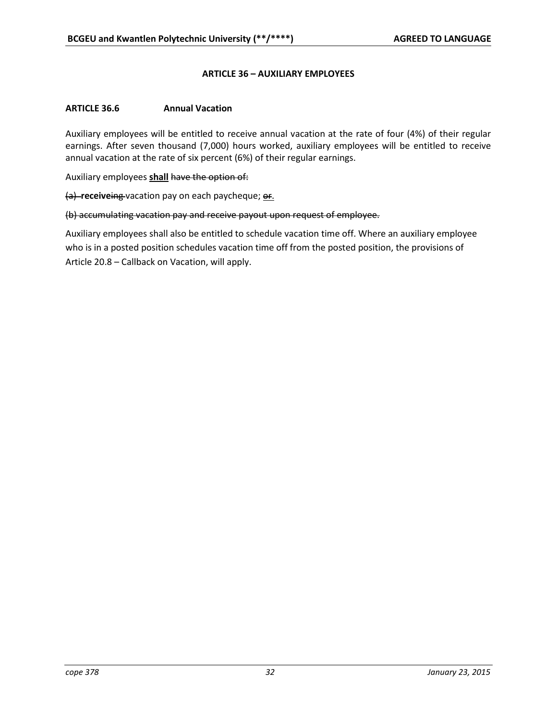#### **ARTICLE 36 – AUXILIARY EMPLOYEES**

#### **ARTICLE 36.6 Annual Vacation**

Auxiliary employees will be entitled to receive annual vacation at the rate of four (4%) of their regular earnings. After seven thousand (7,000) hours worked, auxiliary employees will be entitled to receive annual vacation at the rate of six percent (6%) of their regular earnings.

Auxiliary employees **shall** have the option of:

(a) **receiveing** vacation pay on each paycheque; **or.** 

#### (b) accumulating vacation pay and receive payout upon request of employee.

Auxiliary employees shall also be entitled to schedule vacation time off. Where an auxiliary employee who is in a posted position schedules vacation time off from the posted position, the provisions of Article 20.8 – Callback on Vacation, will apply.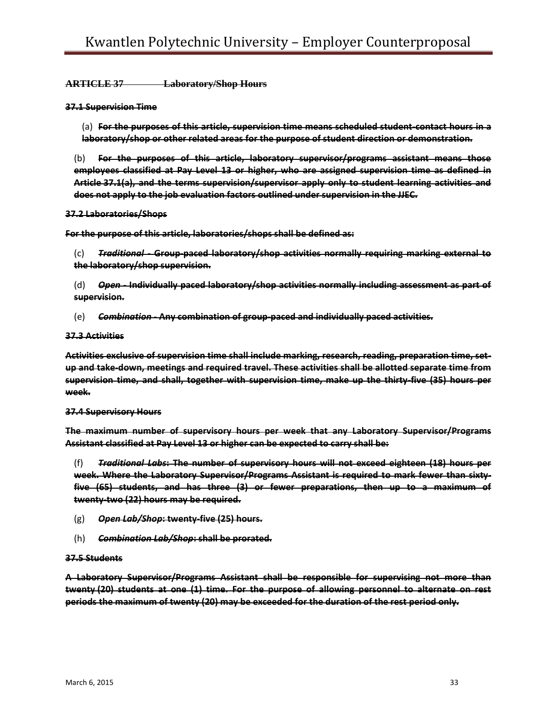#### **ARTICLE 37 Laboratory/Shop Hours**

#### **37.1 Supervision Time**

(a) **For the purposes of this article, supervision time means scheduled student-contact hours in a laboratory/shop or other related areas for the purpose of student direction or demonstration.**

(b) **For the purposes of this article, laboratory supervisor/programs assistant means those employees classified at Pay Level 13 or higher, who are assigned supervision time as defined in Article 37.1(a), and the terms supervision/supervisor apply only to student learning activities and does not apply to the job evaluation factors outlined under supervision in the JJEC.**

#### **37.2 Laboratories/Shops**

**For the purpose of this article, laboratories/shops shall be defined as:**

(c) *Traditional* **- Group-paced laboratory/shop activities normally requiring marking external to the laboratory/shop supervision.**

(d) *Open* **- Individually paced laboratory/shop activities normally including assessment as part of supervision.**

(e) *Combination* **- Any combination of group-paced and individually paced activities.**

#### **37.3 Activities**

**Activities exclusive of supervision time shall include marking, research, reading, preparation time, setup and take-down, meetings and required travel. These activities shall be allotted separate time from supervision time, and shall, together with supervision time, make up the thirty-five (35) hours per week.**

#### **37.4 Supervisory Hours**

**The maximum number of supervisory hours per week that any Laboratory Supervisor/Programs Assistant classified at Pay Level 13 or higher can be expected to carry shall be:**

(f) *Traditional Labs***: The number of supervisory hours will not exceed eighteen (18) hours per week. Where the Laboratory Supervisor/Programs Assistant is required to mark fewer than sixtyfive (65) students, and has three (3) or fewer preparations, then up to a maximum of twenty-two (22) hours may be required.**

- (g) *Open Lab/Shop***: twenty-five (25) hours.**
- (h) *Combination Lab/Shop***: shall be prorated.**

#### **37.5 Students**

**A Laboratory Supervisor/Programs Assistant shall be responsible for supervising not more than twenty (20) students at one (1) time. For the purpose of allowing personnel to alternate on rest periods the maximum of twenty (20) may be exceeded for the duration of the rest period only.**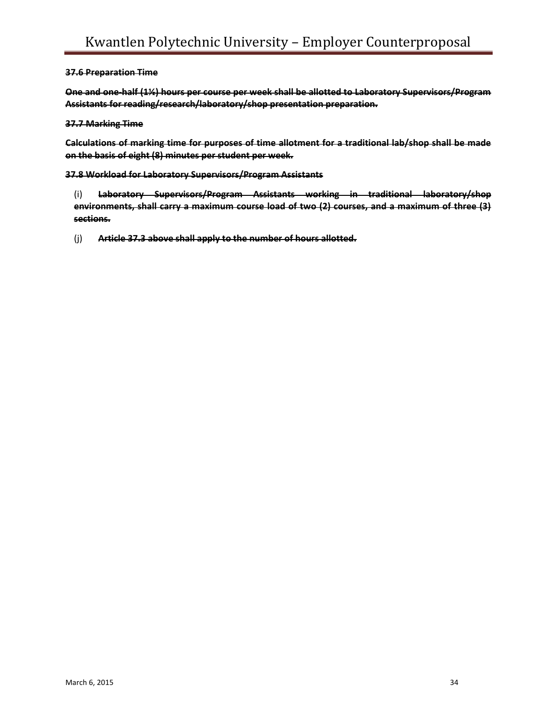#### **37.6 Preparation Time**

**One and one-half (1½) hours per course per week shall be allotted to Laboratory Supervisors/Program Assistants for reading/research/laboratory/shop presentation preparation.**

#### **37.7 Marking Time**

**Calculations of marking time for purposes of time allotment for a traditional lab/shop shall be made on the basis of eight (8) minutes per student per week.**

**37.8 Workload for Laboratory Supervisors/Program Assistants**

(i) **Laboratory Supervisors/Program Assistants working in traditional laboratory/shop environments, shall carry a maximum course load of two (2) courses, and a maximum of three (3) sections.**

(j) **Article 37.3 above shall apply to the number of hours allotted.**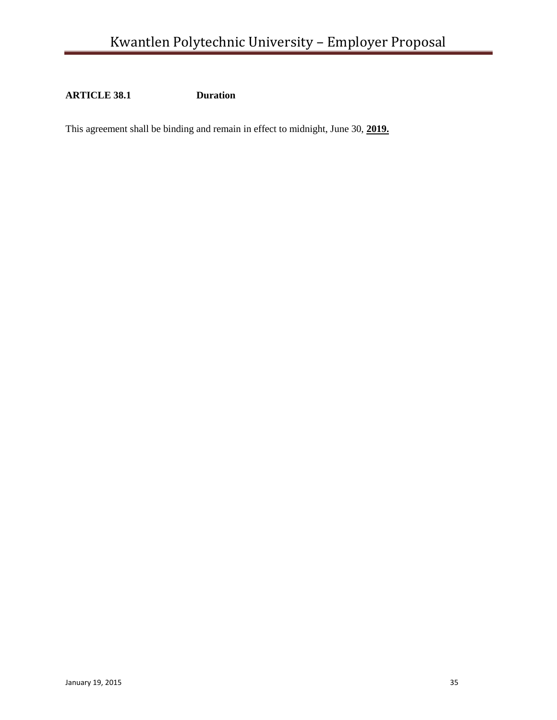**ARTICLE 38.1 Duration**

This agreement shall be binding and remain in effect to midnight, June 30, **2019.**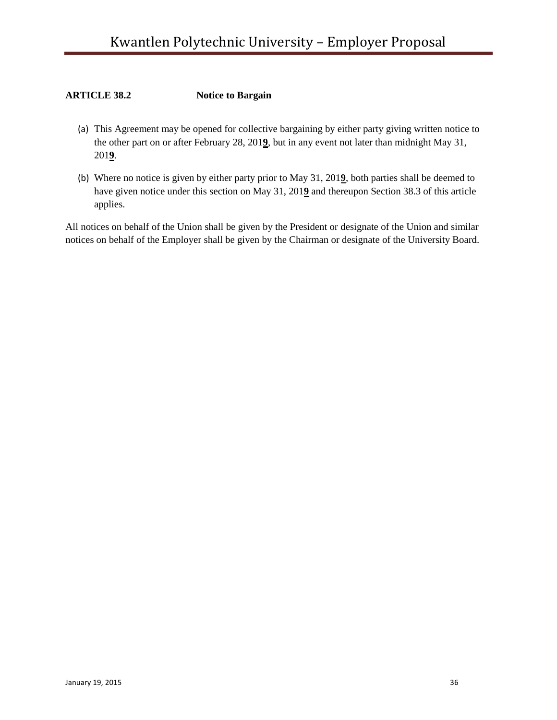# **ARTICLE 38.2 Notice to Bargain**

- (a) This Agreement may be opened for collective bargaining by either party giving written notice to the other part on or after February 28, 201**9**, but in any event not later than midnight May 31, 201**9**.
- (b) Where no notice is given by either party prior to May 31, 201**9**, both parties shall be deemed to have given notice under this section on May 31, 201**9** and thereupon Section 38.3 of this article applies.

All notices on behalf of the Union shall be given by the President or designate of the Union and similar notices on behalf of the Employer shall be given by the Chairman or designate of the University Board.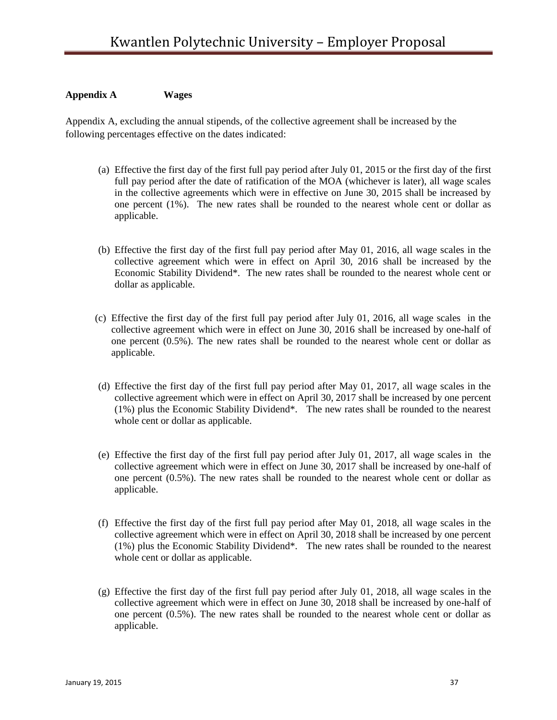### **Appendix A Wages**

Appendix A, excluding the annual stipends, of the collective agreement shall be increased by the following percentages effective on the dates indicated:

- (a) Effective the first day of the first full pay period after July 01, 2015 or the first day of the first full pay period after the date of ratification of the MOA (whichever is later), all wage scales in the collective agreements which were in effective on June 30, 2015 shall be increased by one percent (1%). The new rates shall be rounded to the nearest whole cent or dollar as applicable.
- (b) Effective the first day of the first full pay period after May 01, 2016, all wage scales in the collective agreement which were in effect on April 30, 2016 shall be increased by the Economic Stability Dividend\*. The new rates shall be rounded to the nearest whole cent or dollar as applicable.
- (c) Effective the first day of the first full pay period after July 01, 2016, all wage scales in the collective agreement which were in effect on June 30, 2016 shall be increased by one-half of one percent (0.5%). The new rates shall be rounded to the nearest whole cent or dollar as applicable.
- (d) Effective the first day of the first full pay period after May 01, 2017, all wage scales in the collective agreement which were in effect on April 30, 2017 shall be increased by one percent (1%) plus the Economic Stability Dividend\*. The new rates shall be rounded to the nearest whole cent or dollar as applicable.
- (e) Effective the first day of the first full pay period after July 01, 2017, all wage scales in the collective agreement which were in effect on June 30, 2017 shall be increased by one-half of one percent (0.5%). The new rates shall be rounded to the nearest whole cent or dollar as applicable.
- (f) Effective the first day of the first full pay period after May 01, 2018, all wage scales in the collective agreement which were in effect on April 30, 2018 shall be increased by one percent (1%) plus the Economic Stability Dividend\*. The new rates shall be rounded to the nearest whole cent or dollar as applicable.
- (g) Effective the first day of the first full pay period after July 01, 2018, all wage scales in the collective agreement which were in effect on June 30, 2018 shall be increased by one-half of one percent (0.5%). The new rates shall be rounded to the nearest whole cent or dollar as applicable.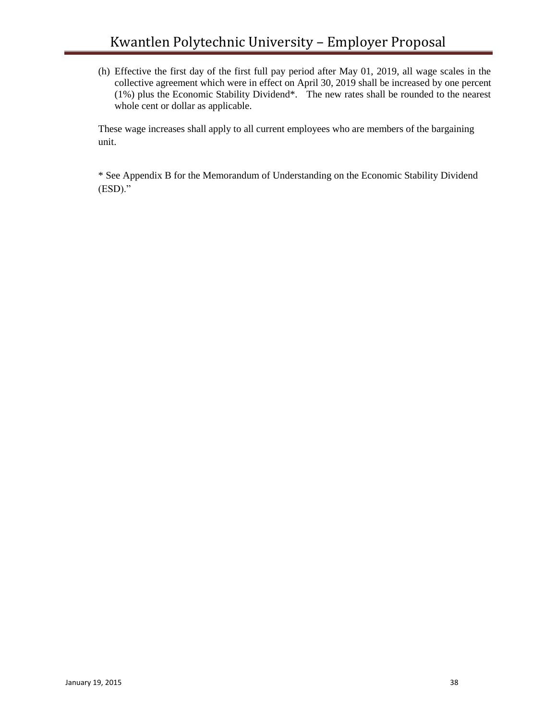(h) Effective the first day of the first full pay period after May 01, 2019, all wage scales in the collective agreement which were in effect on April 30, 2019 shall be increased by one percent (1%) plus the Economic Stability Dividend\*. The new rates shall be rounded to the nearest whole cent or dollar as applicable.

These wage increases shall apply to all current employees who are members of the bargaining unit.

\* See Appendix B for the Memorandum of Understanding on the Economic Stability Dividend (ESD)."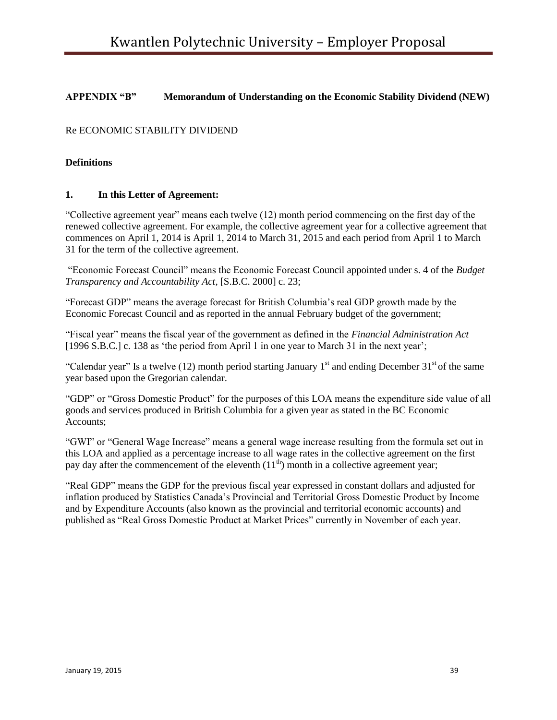# **APPENDIX "B" Memorandum of Understanding on the Economic Stability Dividend (NEW)**

# Re ECONOMIC STABILITY DIVIDEND

### **Definitions**

### **1. In this Letter of Agreement:**

"Collective agreement year" means each twelve (12) month period commencing on the first day of the renewed collective agreement. For example, the collective agreement year for a collective agreement that commences on April 1, 2014 is April 1, 2014 to March 31, 2015 and each period from April 1 to March 31 for the term of the collective agreement.

"Economic Forecast Council" means the Economic Forecast Council appointed under s. 4 of the *Budget Transparency and Accountability Act*, [S.B.C. 2000] c. 23;

"Forecast GDP" means the average forecast for British Columbia's real GDP growth made by the Economic Forecast Council and as reported in the annual February budget of the government;

"Fiscal year" means the fiscal year of the government as defined in the *Financial Administration Act* [1996 S.B.C.] c. 138 as 'the period from April 1 in one year to March 31 in the next year';

"Calendar year" Is a twelve (12) month period starting January  $1<sup>st</sup>$  and ending December 31 $<sup>st</sup>$  of the same</sup> year based upon the Gregorian calendar.

"GDP" or "Gross Domestic Product" for the purposes of this LOA means the expenditure side value of all goods and services produced in British Columbia for a given year as stated in the BC Economic Accounts;

"GWI" or "General Wage Increase" means a general wage increase resulting from the formula set out in this LOA and applied as a percentage increase to all wage rates in the collective agreement on the first pay day after the commencement of the eleventh  $(11<sup>th</sup>)$  month in a collective agreement year;

"Real GDP" means the GDP for the previous fiscal year expressed in constant dollars and adjusted for inflation produced by Statistics Canada's Provincial and Territorial Gross Domestic Product by Income and by Expenditure Accounts (also known as the provincial and territorial economic accounts) and published as "Real Gross Domestic Product at Market Prices" currently in November of each year.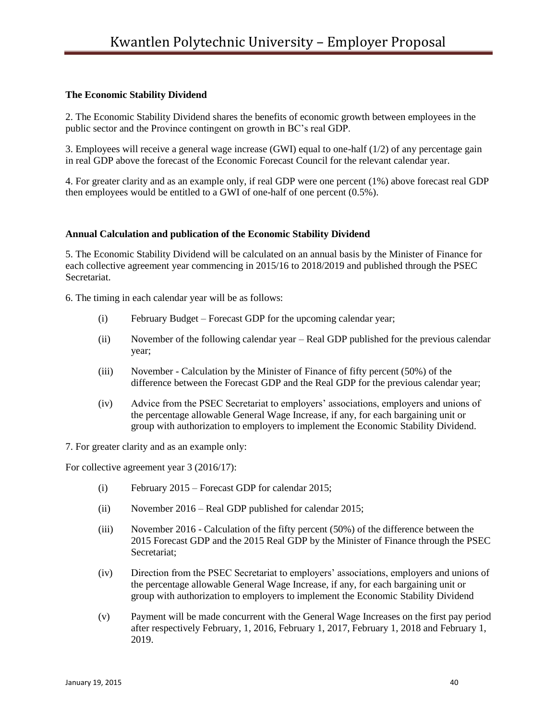# **The Economic Stability Dividend**

2. The Economic Stability Dividend shares the benefits of economic growth between employees in the public sector and the Province contingent on growth in BC's real GDP.

3. Employees will receive a general wage increase (GWI) equal to one-half (1/2) of any percentage gain in real GDP above the forecast of the Economic Forecast Council for the relevant calendar year.

4. For greater clarity and as an example only, if real GDP were one percent (1%) above forecast real GDP then employees would be entitled to a GWI of one-half of one percent (0.5%).

### **Annual Calculation and publication of the Economic Stability Dividend**

5. The Economic Stability Dividend will be calculated on an annual basis by the Minister of Finance for each collective agreement year commencing in 2015/16 to 2018/2019 and published through the PSEC Secretariat.

6. The timing in each calendar year will be as follows:

- (i) February Budget Forecast GDP for the upcoming calendar year;
- (ii) November of the following calendar year Real GDP published for the previous calendar year;
- (iii) November Calculation by the Minister of Finance of fifty percent (50%) of the difference between the Forecast GDP and the Real GDP for the previous calendar year;
- (iv) Advice from the PSEC Secretariat to employers' associations, employers and unions of the percentage allowable General Wage Increase, if any, for each bargaining unit or group with authorization to employers to implement the Economic Stability Dividend.

7. For greater clarity and as an example only:

For collective agreement year 3 (2016/17):

- (i) February 2015 Forecast GDP for calendar 2015;
- (ii) November 2016 Real GDP published for calendar 2015;
- (iii) November 2016 Calculation of the fifty percent (50%) of the difference between the 2015 Forecast GDP and the 2015 Real GDP by the Minister of Finance through the PSEC Secretariat;
- (iv) Direction from the PSEC Secretariat to employers' associations, employers and unions of the percentage allowable General Wage Increase, if any, for each bargaining unit or group with authorization to employers to implement the Economic Stability Dividend
- (v) Payment will be made concurrent with the General Wage Increases on the first pay period after respectively February, 1, 2016, February 1, 2017, February 1, 2018 and February 1, 2019.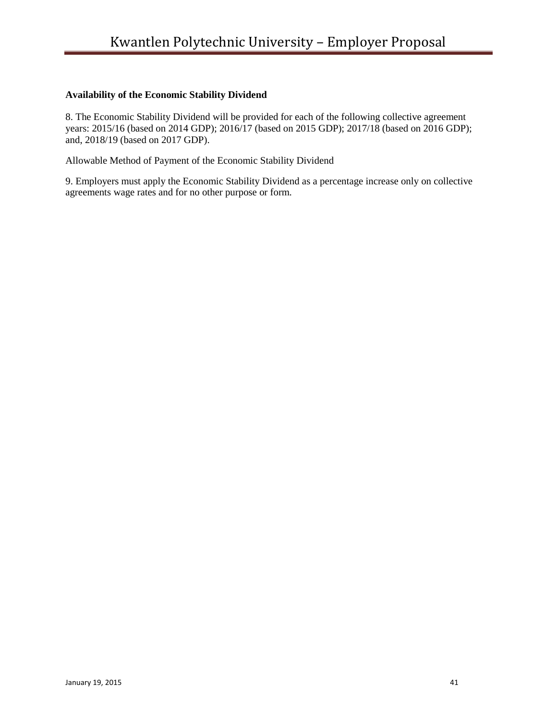# **Availability of the Economic Stability Dividend**

8. The Economic Stability Dividend will be provided for each of the following collective agreement years: 2015/16 (based on 2014 GDP); 2016/17 (based on 2015 GDP); 2017/18 (based on 2016 GDP); and, 2018/19 (based on 2017 GDP).

Allowable Method of Payment of the Economic Stability Dividend

9. Employers must apply the Economic Stability Dividend as a percentage increase only on collective agreements wage rates and for no other purpose or form.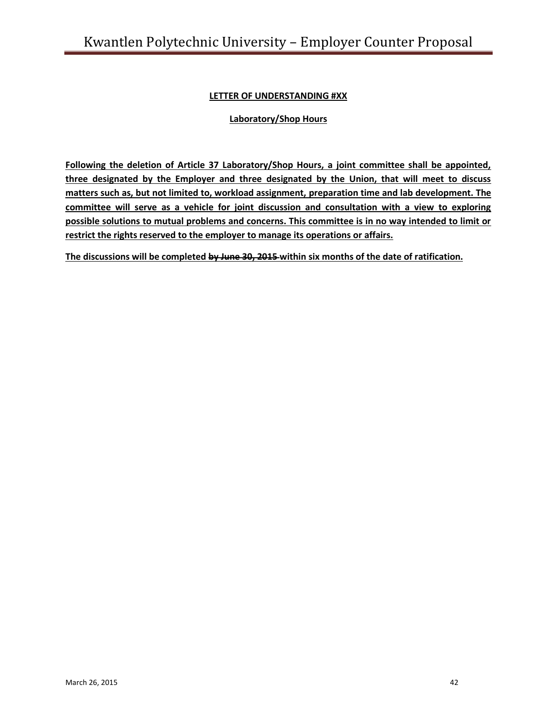# **LETTER OF UNDERSTANDING #XX**

# **Laboratory/Shop Hours**

**Following the deletion of Article 37 Laboratory/Shop Hours, a joint committee shall be appointed, three designated by the Employer and three designated by the Union, that will meet to discuss matters such as, but not limited to, workload assignment, preparation time and lab development. The committee will serve as a vehicle for joint discussion and consultation with a view to exploring possible solutions to mutual problems and concerns. This committee is in no way intended to limit or restrict the rights reserved to the employer to manage its operations or affairs.** 

**The discussions will be completed by June 30, 2015 within six months of the date of ratification.**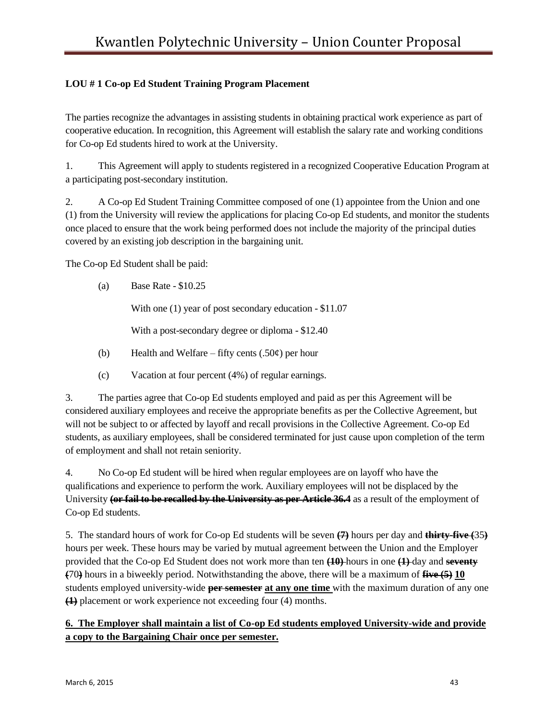# **LOU # 1 Co-op Ed Student Training Program Placement**

The parties recognize the advantages in assisting students in obtaining practical work experience as part of cooperative education. In recognition, this Agreement will establish the salary rate and working conditions for Co-op Ed students hired to work at the University.

1. This Agreement will apply to students registered in a recognized Cooperative Education Program at a participating post-secondary institution.

2. A Co-op Ed Student Training Committee composed of one (1) appointee from the Union and one (1) from the University will review the applications for placing Co-op Ed students, and monitor the students once placed to ensure that the work being performed does not include the majority of the principal duties covered by an existing job description in the bargaining unit.

The Co-op Ed Student shall be paid:

(a) Base Rate - \$10.25

With one (1) year of post secondary education - \$11.07

With a post-secondary degree or diploma - \$12.40

- (b) Health and Welfare fifty cents  $(.50¢)$  per hour
- (c) Vacation at four percent (4%) of regular earnings.

3. The parties agree that Co-op Ed students employed and paid as per this Agreement will be considered auxiliary employees and receive the appropriate benefits as per the Collective Agreement, but will not be subject to or affected by layoff and recall provisions in the Collective Agreement. Co-op Ed students, as auxiliary employees, shall be considered terminated for just cause upon completion of the term of employment and shall not retain seniority.

4. No Co-op Ed student will be hired when regular employees are on layoff who have the qualifications and experience to perform the work. Auxiliary employees will not be displaced by the University **(or fail to be recalled by the University as per Article 36.4** as a result of the employment of Co-op Ed students.

5. The standard hours of work for Co-op Ed students will be seven **(7)** hours per day and **thirty-five (**35**)**  hours per week. These hours may be varied by mutual agreement between the Union and the Employer provided that the Co-op Ed Student does not work more than ten **(10)** hours in one **(1)** day and **seventy (**70**)** hours in a biweekly period. Notwithstanding the above, there will be a maximum of **five (5) 10**  students employed university-wide **per semester at any one time** with the maximum duration of any one **(1)** placement or work experience not exceeding four (4) months.

# **6. The Employer shall maintain a list of Co-op Ed students employed University-wide and provide a copy to the Bargaining Chair once per semester.**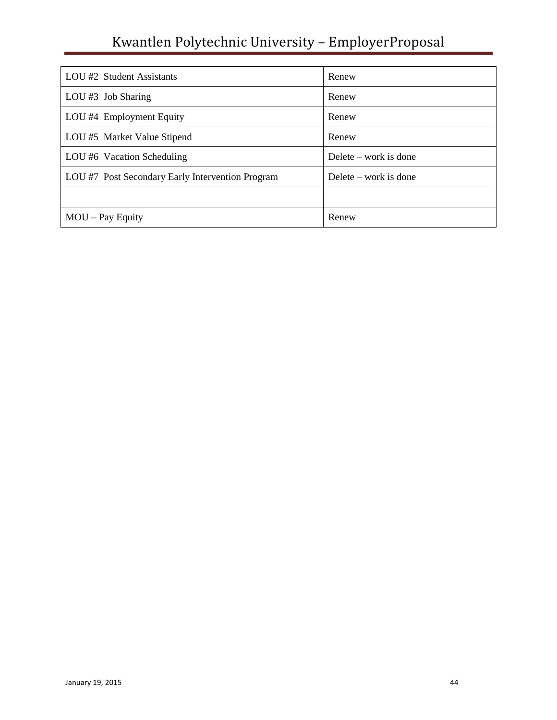# Kwantlen Polytechnic University – EmployerProposal

| LOU #2 Student Assistants                        | Renew                   |
|--------------------------------------------------|-------------------------|
| LOU #3 Job Sharing                               | Renew                   |
| LOU #4 Employment Equity                         | Renew                   |
| LOU #5 Market Value Stipend                      | Renew                   |
| LOU #6 Vacation Scheduling                       | Delete – work is done   |
| LOU #7 Post Secondary Early Intervention Program | Delete $-$ work is done |
|                                                  |                         |
| $MOU$ – Pay Equity                               | Renew                   |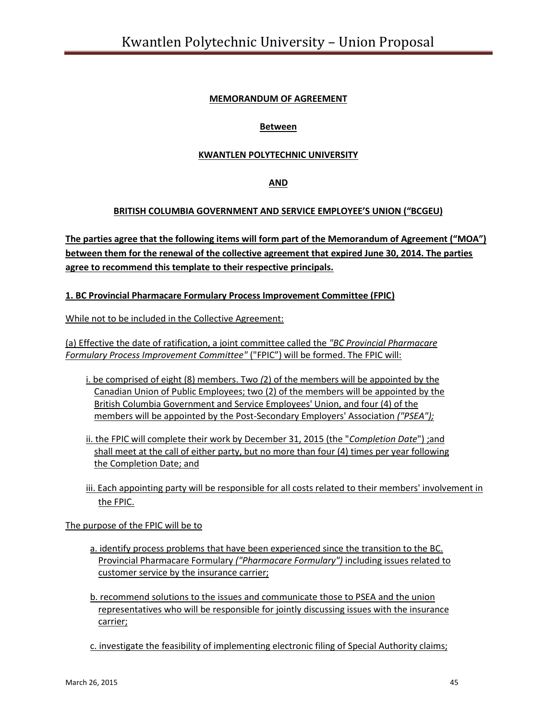# **MEMORANDUM OF AGREEMENT**

# **Between**

# **KWANTLEN POLYTECHNIC UNIVERSITY**

### **AND**

### **BRITISH COLUMBIA GOVERNMENT AND SERVICE EMPLOYEE'S UNION ("BCGEU)**

The parties agree that the following items will form part of the Memorandum of Agreement ("MOA") **between them for the renewal of the collective agreement that expired June 30, 2014. The parties agree to recommend this template to their respective principals.** 

### **1. BC Provincial Pharmacare Formulary Process Improvement Committee (FPIC)**

While not to be included in the Collective Agreement:

(a) Effective the date of ratification, a joint committee called the *"BC Provincial Pharmacare Formulary Process Improvement Committee"* ("FPIC") will be formed. The FPIC will:

- i. be comprised of eight (8) members. Two *(*2) of the members will be appointed by the Canadian Union of Public Employees; two (2) of the members will be appointed by the British Columbia Government and Service Employees' Union, and four (4) of the members will be appointed by the Post-Secondary Employers' Association *("PSEA");*
- ii. the FPIC will complete their work by December 31, 2015 (the "*Completion Date*") ;and shall meet at the call of either party, but no more than four (4) times per year following the Completion Date; and
- iii. Each appointing party will be responsible for all costs related to their members' involvement in the FPIC.

### The purpose of the FPIC will be to

- a. identify process problems that have been experienced since the transition to the BC. Provincial Pharmacare Formulary *("Pharmacare Formulary")* including issues related to customer service by the insurance carrier;
- b. recommend solutions to the issues and communicate those to PSEA and the union representatives who will be responsible for jointly discussing issues with the insurance carrier;

c. investigate the feasibility of implementing electronic filing of Special Authority claims;